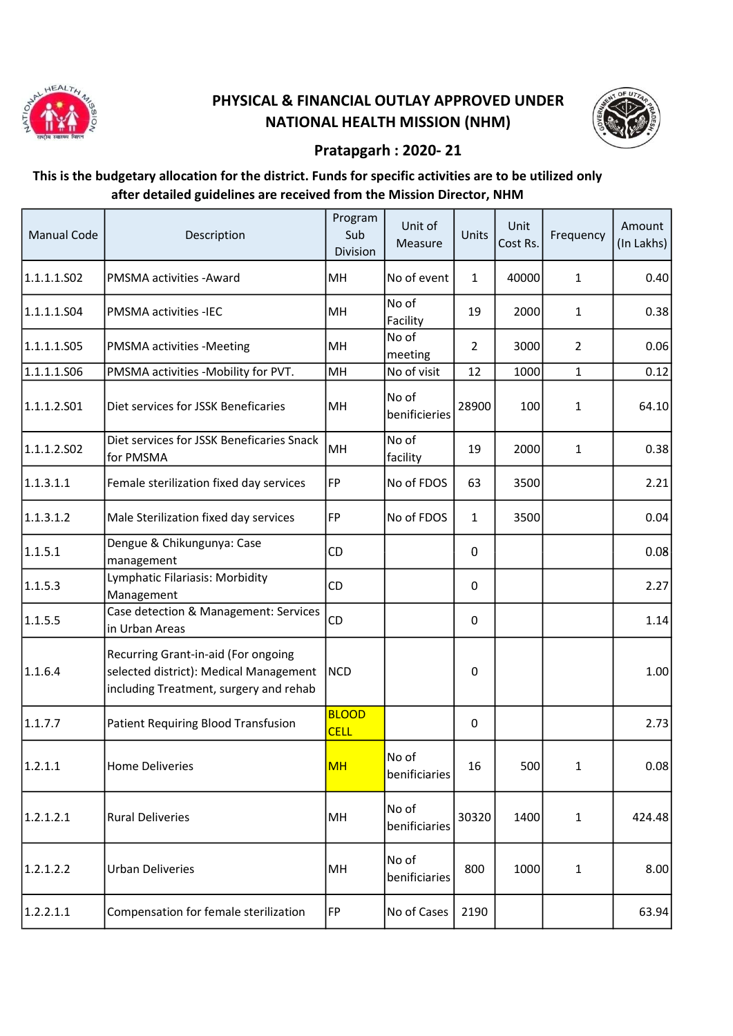

## PHYSICAL & FINANCIAL OUTLAY APPROVED UNDER NATIONAL HEALTH MISSION (NHM)



## Pratapgarh : 2020- 21

## This is the budgetary allocation for the district. Funds for specific activities are to be utilized only after detailed guidelines are received from the Mission Director, NHM

| <b>Manual Code</b> | Description                                                                                                             | Program<br>Sub<br>Division  | Unit of<br>Measure      | Units          | Unit<br>Cost Rs. | Frequency    | Amount<br>$(ln$ Lakhs $)  $ |
|--------------------|-------------------------------------------------------------------------------------------------------------------------|-----------------------------|-------------------------|----------------|------------------|--------------|-----------------------------|
| 1.1.1.1.S02        | PMSMA activities - Award                                                                                                | MH                          | No of event             | $\mathbf{1}$   | 40000            | 1            | 0.40                        |
| 1.1.1.1.504        | <b>PMSMA activities -IEC</b>                                                                                            | MH                          | No of<br>Facility       | 19             | 2000             | 1            | 0.38                        |
| 1.1.1.1.S05        | PMSMA activities -Meeting                                                                                               | MH                          | No of<br>meeting        | $\overline{2}$ | 3000             | 2            | 0.06                        |
| 1.1.1.1.506        | PMSMA activities -Mobility for PVT.                                                                                     | MH                          | No of visit             | 12             | 1000             | $\mathbf 1$  | 0.12                        |
| 1.1.1.2.501        | Diet services for JSSK Beneficaries                                                                                     | MH                          | No of<br>benificieries  | 28900          | 100              | 1            | 64.10                       |
| 1.1.1.2.502        | Diet services for JSSK Beneficaries Snack<br>for PMSMA                                                                  | MH                          | No of<br>facility       | 19             | 2000             | 1            | 0.38                        |
| 1.1.3.1.1          | Female sterilization fixed day services                                                                                 | FP                          | No of FDOS              | 63             | 3500             |              | 2.21                        |
| 1.1.3.1.2          | Male Sterilization fixed day services                                                                                   | FP                          | No of FDOS              | $\mathbf{1}$   | 3500             |              | 0.04                        |
| 1.1.5.1            | Dengue & Chikungunya: Case<br>management                                                                                | CD                          |                         | 0              |                  |              | 0.08                        |
| 1.1.5.3            | Lymphatic Filariasis: Morbidity<br>Management                                                                           | CD                          |                         | 0              |                  |              | 2.27                        |
| 1.1.5.5            | Case detection & Management: Services<br>in Urban Areas                                                                 | CD                          |                         | $\mathbf 0$    |                  |              | 1.14                        |
| 1.1.6.4            | Recurring Grant-in-aid (For ongoing<br>selected district): Medical Management<br>including Treatment, surgery and rehab | <b>NCD</b>                  |                         | 0              |                  |              | 1.00                        |
| 1.1.7.7            | Patient Requiring Blood Transfusion                                                                                     | <b>BLOOD</b><br><b>CELL</b> |                         | 0              |                  |              | 2.73                        |
| 1.2.1.1            | Home Deliveries                                                                                                         | MH                          | lNo of<br>benificiaries | 16             | 500              | $\mathbf{1}$ | 0.08                        |
| 1.2.1.2.1          | <b>Rural Deliveries</b>                                                                                                 | MH                          | No of<br>benificiaries  | 30320          | 1400             | 1            | 424.48                      |
| 1.2.1.2.2          | <b>Urban Deliveries</b>                                                                                                 | MH                          | No of<br>benificiaries  | 800            | 1000             | 1            | 8.00                        |
| 1.2.2.1.1          | Compensation for female sterilization                                                                                   | FP                          | No of Cases             | 2190           |                  |              | 63.94                       |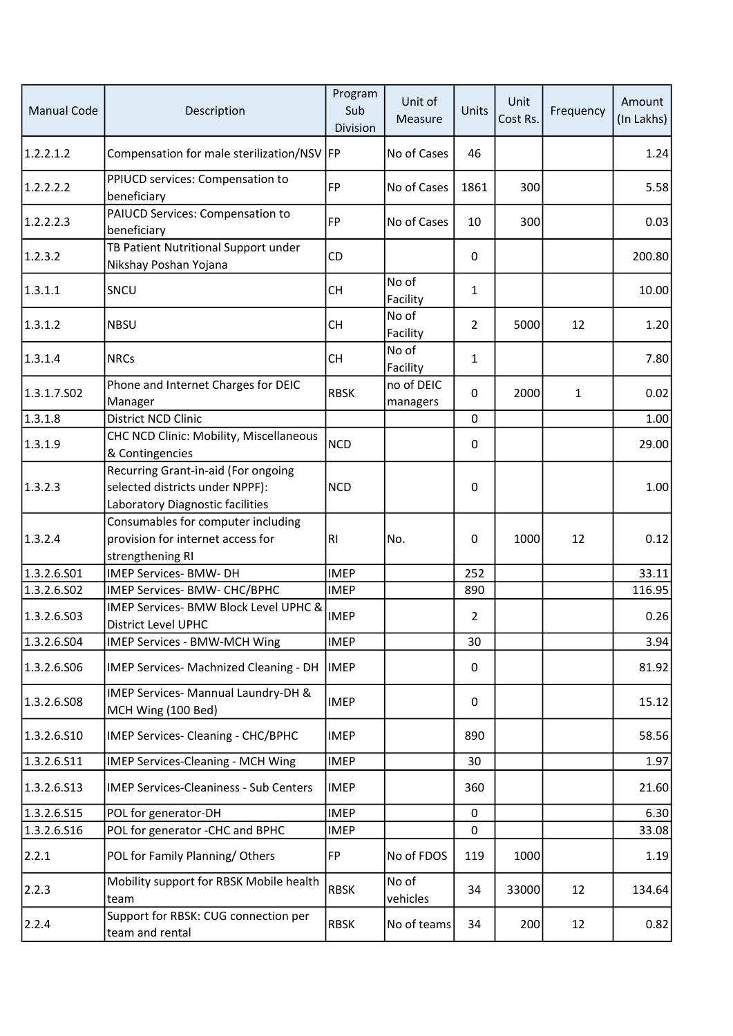| <b>Manual Code</b> | Description                                                                                                | Program<br>Sub<br>Division | Unit of<br>Measure     | Units          | Unit<br>Cost Rs. | Frequency | Amount<br>(In Lakhs) |
|--------------------|------------------------------------------------------------------------------------------------------------|----------------------------|------------------------|----------------|------------------|-----------|----------------------|
| 1.2.2.1.2          | Compensation for male sterilization/NSV  FP                                                                |                            | No of Cases            | 46             |                  |           | 1.24                 |
| 1.2.2.2.2          | PPIUCD services: Compensation to<br>beneficiary                                                            | FP                         | No of Cases            | 1861           | 300              |           | 5.58                 |
| 1.2.2.2.3          | PAIUCD Services: Compensation to<br>beneficiary                                                            | FP                         | No of Cases            | 10             | 300              |           | 0.03                 |
| 1.2.3.2            | TB Patient Nutritional Support under<br>Nikshay Poshan Yojana                                              | CD                         |                        | 0              |                  |           | 200.80               |
| 1.3.1.1            | SNCU                                                                                                       | <b>CH</b>                  | No of<br>Facility      | 1              |                  |           | 10.00                |
| 1.3.1.2            | <b>NBSU</b>                                                                                                | <b>CH</b>                  | No of<br>Facility      | $\overline{2}$ | 5000             | 12        | 1.20                 |
| 1.3.1.4            | <b>NRCs</b>                                                                                                | <b>CH</b>                  | No of<br>Facility      | $\mathbf 1$    |                  |           | 7.80                 |
| 1.3.1.7.502        | Phone and Internet Charges for DEIC<br>Manager                                                             | <b>RBSK</b>                | no of DEIC<br>managers | 0              | 2000             | 1         | 0.02                 |
| 1.3.1.8            | <b>District NCD Clinic</b>                                                                                 |                            |                        | 0              |                  |           | 1.00                 |
| 1.3.1.9            | CHC NCD Clinic: Mobility, Miscellaneous<br>& Contingencies                                                 | <b>NCD</b>                 |                        | 0              |                  |           | 29.00                |
| 1.3.2.3            | Recurring Grant-in-aid (For ongoing<br>selected districts under NPPF):<br>Laboratory Diagnostic facilities | <b>NCD</b>                 |                        | 0              |                  |           | 1.00                 |
| 1.3.2.4            | Consumables for computer including<br>provision for internet access for<br>strengthening RI                | R <sub>1</sub>             | No.                    | 0              | 1000             | 12        | 0.12                 |
| 1.3.2.6.S01        | IMEP Services- BMW- DH                                                                                     | <b>IMEP</b>                |                        | 252            |                  |           | 33.11                |
| 1.3.2.6.S02        | IMEP Services- BMW- CHC/BPHC                                                                               | <b>IMEP</b>                |                        | 890            |                  |           | 116.95               |
| 1.3.2.6.503        | IMEP Services- BMW Block Level UPHC &<br>District Level UPHC                                               | <b>IMEP</b>                |                        | $\overline{2}$ |                  |           | 0.26                 |
| 1.3.2.6.504        | <b>IMEP Services - BMW-MCH Wing</b>                                                                        | <b>IMEP</b>                |                        | 30             |                  |           | 3.94                 |
| 1.3.2.6.506        | IMEP Services- Machnized Cleaning - DH                                                                     | <b>IMEP</b>                |                        | 0              |                  |           | 81.92                |
| 1.3.2.6.508        | IMEP Services- Mannual Laundry-DH &<br>MCH Wing (100 Bed)                                                  | <b>IMEP</b>                |                        | $\Omega$       |                  |           | 15.12                |
| 1.3.2.6.510        | IMEP Services- Cleaning - CHC/BPHC                                                                         | <b>IMEP</b>                |                        | 890            |                  |           | 58.56                |
| 1.3.2.6.511        | <b>IMEP Services-Cleaning - MCH Wing</b>                                                                   | <b>IMEP</b>                |                        | 30             |                  |           | 1.97                 |
| 1.3.2.6.513        | <b>IMEP Services-Cleaniness - Sub Centers</b>                                                              | <b>IMEP</b>                |                        | 360            |                  |           | 21.60                |
| 1.3.2.6.S15        | POL for generator-DH                                                                                       | <b>IMEP</b>                |                        | $\mathbf 0$    |                  |           | 6.30                 |
| 1.3.2.6.516        | POL for generator -CHC and BPHC                                                                            | <b>IMEP</b>                |                        | 0              |                  |           | 33.08                |
| 2.2.1              | POL for Family Planning/Others                                                                             | <b>FP</b>                  | No of FDOS             | 119            | 1000             |           | 1.19                 |
| 2.2.3              | Mobility support for RBSK Mobile health<br>team                                                            | <b>RBSK</b>                | No of<br>vehicles      | 34             | 33000            | 12        | 134.64               |
| 2.2.4              | Support for RBSK: CUG connection per<br>team and rental                                                    | <b>RBSK</b>                | No of teams            | 34             | 200              | 12        | 0.82                 |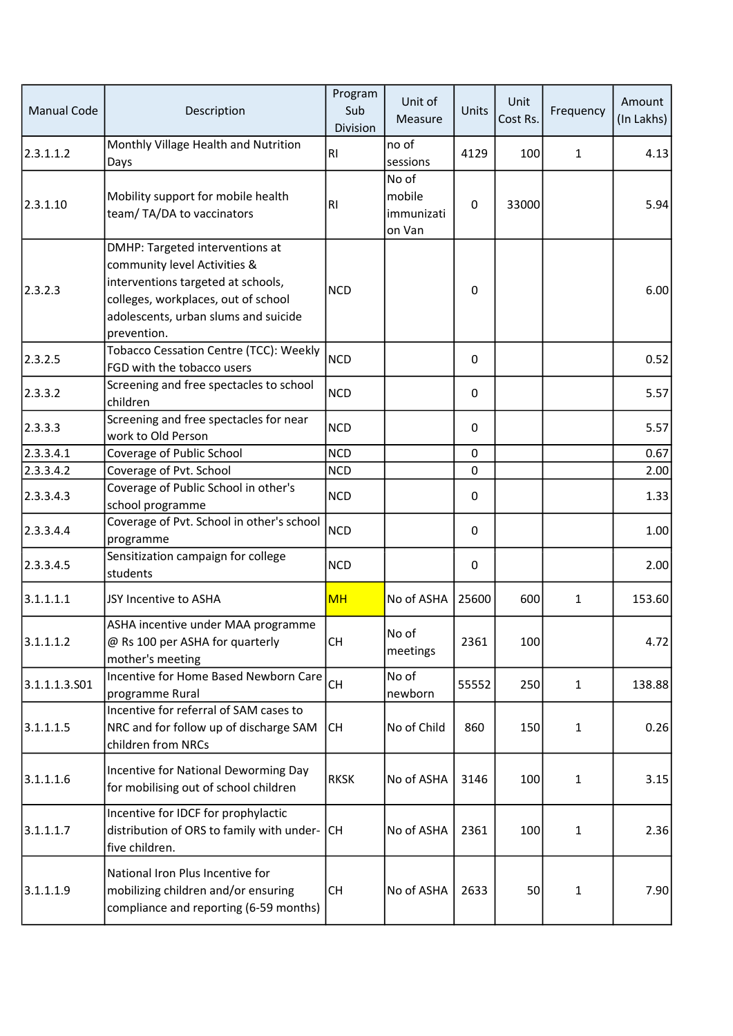| <b>Manual Code</b> | Description                                                                                                                                                                                         | Program<br>Sub<br>Division | Unit of<br>Measure                      | Units       | Unit<br>Cost Rs. | Frequency    | Amount<br>(In Lakhs) |
|--------------------|-----------------------------------------------------------------------------------------------------------------------------------------------------------------------------------------------------|----------------------------|-----------------------------------------|-------------|------------------|--------------|----------------------|
| 2.3.1.1.2          | Monthly Village Health and Nutrition<br>Days                                                                                                                                                        | <b>RI</b>                  | no of<br>sessions                       | 4129        | 100              | $\mathbf{1}$ | 4.13                 |
| 2.3.1.10           | Mobility support for mobile health<br>team/TA/DA to vaccinators                                                                                                                                     | <b>RI</b>                  | No of<br>mobile<br>immunizati<br>on Van | 0           | 33000            |              | 5.94                 |
| 2.3.2.3            | DMHP: Targeted interventions at<br>community level Activities &<br>interventions targeted at schools,<br>colleges, workplaces, out of school<br>adolescents, urban slums and suicide<br>prevention. | <b>NCD</b>                 |                                         | 0           |                  |              | 6.00                 |
| 2.3.2.5            | Tobacco Cessation Centre (TCC): Weekly<br>FGD with the tobacco users                                                                                                                                | <b>NCD</b>                 |                                         | 0           |                  |              | 0.52                 |
| 2.3.3.2            | Screening and free spectacles to school<br>children                                                                                                                                                 | <b>NCD</b>                 |                                         | 0           |                  |              | 5.57                 |
| 2.3.3.3            | Screening and free spectacles for near<br>work to Old Person                                                                                                                                        | <b>NCD</b>                 |                                         | 0           |                  |              | 5.57                 |
| 2.3.3.4.1          | Coverage of Public School                                                                                                                                                                           | <b>NCD</b>                 |                                         | $\mathbf 0$ |                  |              | 0.67                 |
| 2.3.3.4.2          | Coverage of Pvt. School                                                                                                                                                                             | <b>NCD</b>                 |                                         | 0           |                  |              | 2.00                 |
| 2.3.3.4.3          | Coverage of Public School in other's<br>school programme                                                                                                                                            | <b>NCD</b>                 |                                         | 0           |                  |              | 1.33                 |
| 2.3.3.4.4          | Coverage of Pvt. School in other's school<br>programme                                                                                                                                              | <b>NCD</b>                 |                                         | 0           |                  |              | 1.00                 |
| 2.3.3.4.5          | Sensitization campaign for college<br>students                                                                                                                                                      | <b>NCD</b>                 |                                         | 0           |                  |              | 2.00                 |
| 3.1.1.1.1          | JSY Incentive to ASHA                                                                                                                                                                               | <b>MH</b>                  | No of ASHA                              | 25600       | 600              | $\mathbf{1}$ | 153.60               |
| 3.1.1.1.2          | ASHA incentive under MAA programme<br>@ Rs 100 per ASHA for quarterly<br>mother's meeting                                                                                                           | <b>CH</b>                  | No of<br>meetings                       | 2361        | 100              |              | 4.72                 |
| 3.1.1.1.3.501      | Incentive for Home Based Newborn Care<br>programme Rural                                                                                                                                            | <b>CH</b>                  | No of<br>newborn                        | 55552       | 250              | $\mathbf{1}$ | 138.88               |
| 3.1.1.1.5          | Incentive for referral of SAM cases to<br>NRC and for follow up of discharge SAM<br>children from NRCs                                                                                              | <b>CH</b>                  | No of Child                             | 860         | 150              | $\mathbf{1}$ | 0.26                 |
| 3.1.1.1.6          | Incentive for National Deworming Day<br>for mobilising out of school children                                                                                                                       | <b>RKSK</b>                | No of ASHA                              | 3146        | 100              | $\mathbf{1}$ | 3.15                 |
| 3.1.1.1.7          | Incentive for IDCF for prophylactic<br>distribution of ORS to family with under-<br>five children.                                                                                                  | <b>CH</b>                  | No of ASHA                              | 2361        | 100              | $\mathbf{1}$ | 2.36                 |
| 3.1.1.1.9          | National Iron Plus Incentive for<br>mobilizing children and/or ensuring<br>compliance and reporting (6-59 months)                                                                                   | <b>CH</b>                  | No of ASHA                              | 2633        | 50               | $\mathbf{1}$ | 7.90                 |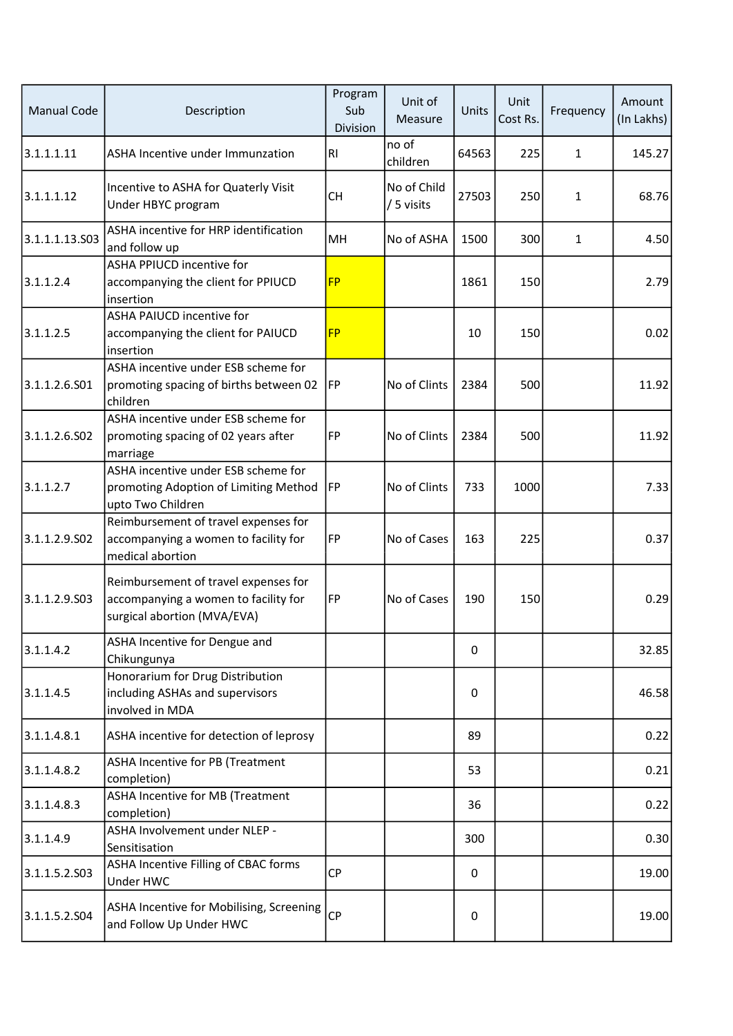| <b>Manual Code</b> | Description                                                                                                 | Program<br>Sub<br>Division | Unit of<br>Measure        | Units | Unit<br>Cost Rs. | Frequency    | Amount<br>(In Lakhs) |
|--------------------|-------------------------------------------------------------------------------------------------------------|----------------------------|---------------------------|-------|------------------|--------------|----------------------|
| 3.1.1.1.11         | ASHA Incentive under Immunzation                                                                            | <b>RI</b>                  | no of<br>children         | 64563 | 225              | 1            | 145.27               |
| 3.1.1.1.12         | Incentive to ASHA for Quaterly Visit<br>Under HBYC program                                                  | <b>CH</b>                  | No of Child<br>/ 5 visits | 27503 | 250              | 1            | 68.76                |
| 3.1.1.1.13.503     | ASHA incentive for HRP identification<br>and follow up                                                      | MH                         | No of ASHA                | 1500  | 300              | $\mathbf{1}$ | 4.50                 |
| 3.1.1.2.4          | <b>ASHA PPIUCD incentive for</b><br>accompanying the client for PPIUCD<br>insertion                         | <b>FP</b>                  |                           | 1861  | 150              |              | 2.79                 |
| 3.1.1.2.5          | <b>ASHA PAIUCD incentive for</b><br>accompanying the client for PAIUCD<br>insertion                         | <b>FP</b>                  |                           | 10    | 150              |              | 0.02                 |
| 3.1.1.2.6.S01      | ASHA incentive under ESB scheme for<br>promoting spacing of births between 02<br>children                   | <b>IFP</b>                 | No of Clints              | 2384  | 500              |              | 11.92                |
| 3.1.1.2.6.S02      | ASHA incentive under ESB scheme for<br>promoting spacing of 02 years after<br>marriage                      | FP                         | No of Clints              | 2384  | 500              |              | 11.92                |
| 3.1.1.2.7          | ASHA incentive under ESB scheme for<br>promoting Adoption of Limiting Method<br>upto Two Children           | <b>IFP</b>                 | No of Clints              | 733   | 1000             |              | 7.33                 |
| 3.1.1.2.9.502      | Reimbursement of travel expenses for<br>accompanying a women to facility for<br>medical abortion            | FP                         | No of Cases               | 163   | 225              |              | 0.37                 |
| 3.1.1.2.9.503      | Reimbursement of travel expenses for<br>accompanying a women to facility for<br>surgical abortion (MVA/EVA) | FP                         | No of Cases               | 190   | 150              |              | 0.29                 |
| 3.1.1.4.2          | ASHA Incentive for Dengue and<br>Chikungunya                                                                |                            |                           | 0     |                  |              | 32.85                |
| 3.1.1.4.5          | Honorarium for Drug Distribution<br>including ASHAs and supervisors<br>involved in MDA                      |                            |                           | 0     |                  |              | 46.58                |
| 3.1.1.4.8.1        | ASHA incentive for detection of leprosy                                                                     |                            |                           | 89    |                  |              | 0.22                 |
| 3.1.1.4.8.2        | ASHA Incentive for PB (Treatment<br>completion)                                                             |                            |                           | 53    |                  |              | 0.21                 |
| 3.1.1.4.8.3        | <b>ASHA Incentive for MB (Treatment</b><br>completion)                                                      |                            |                           | 36    |                  |              | 0.22                 |
| 3.1.1.4.9          | ASHA Involvement under NLEP -<br>Sensitisation                                                              |                            |                           | 300   |                  |              | 0.30                 |
| 3.1.1.5.2.S03      | ASHA Incentive Filling of CBAC forms<br>Under HWC                                                           | <b>CP</b>                  |                           | 0     |                  |              | 19.00                |
| 3.1.1.5.2.504      | ASHA Incentive for Mobilising, Screening<br>and Follow Up Under HWC                                         | <b>CP</b>                  |                           | 0     |                  |              | 19.00                |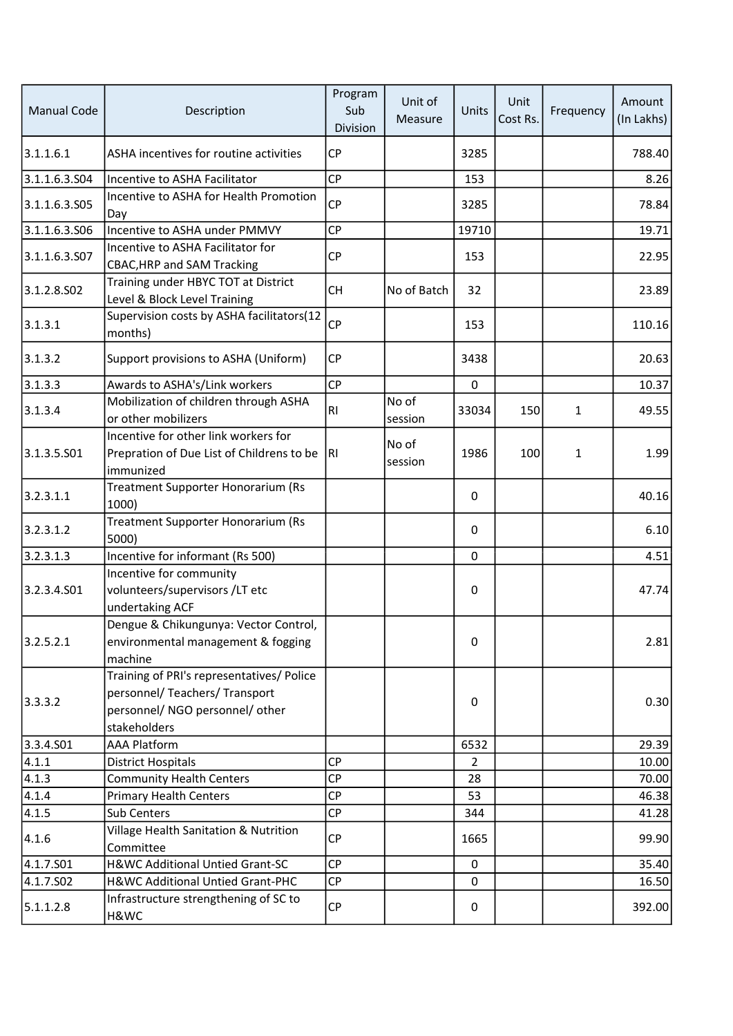| <b>Manual Code</b> | Description                                                                                                                    | Program<br>Sub<br>Division | Unit of<br>Measure | Units          | Unit<br>Cost Rs. | Frequency    | Amount<br>(In Lakhs) |
|--------------------|--------------------------------------------------------------------------------------------------------------------------------|----------------------------|--------------------|----------------|------------------|--------------|----------------------|
| 3.1.1.6.1          | ASHA incentives for routine activities                                                                                         | <b>CP</b>                  |                    | 3285           |                  |              | 788.40               |
| 3.1.1.6.3.S04      | Incentive to ASHA Facilitator                                                                                                  | CP                         |                    | 153            |                  |              | 8.26                 |
| 3.1.1.6.3.505      | Incentive to ASHA for Health Promotion<br>Day                                                                                  | <b>CP</b>                  |                    | 3285           |                  |              | 78.84                |
| 3.1.1.6.3.506      | Incentive to ASHA under PMMVY                                                                                                  | <b>CP</b>                  |                    | 19710          |                  |              | 19.71                |
| 3.1.1.6.3.S07      | Incentive to ASHA Facilitator for<br><b>CBAC, HRP and SAM Tracking</b>                                                         | <b>CP</b>                  |                    | 153            |                  |              | 22.95                |
| 3.1.2.8.502        | Training under HBYC TOT at District<br>Level & Block Level Training                                                            | <b>CH</b>                  | No of Batch        | 32             |                  |              | 23.89                |
| 3.1.3.1            | Supervision costs by ASHA facilitators(12<br>months)                                                                           | <b>CP</b>                  |                    | 153            |                  |              | 110.16               |
| 3.1.3.2            | Support provisions to ASHA (Uniform)                                                                                           | <b>CP</b>                  |                    | 3438           |                  |              | 20.63                |
| 3.1.3.3            | Awards to ASHA's/Link workers                                                                                                  | CP                         |                    | 0              |                  |              | 10.37                |
| 3.1.3.4            | Mobilization of children through ASHA<br>or other mobilizers                                                                   | R1                         | No of<br>session   | 33034          | 150              | $\mathbf{1}$ | 49.55                |
| 3.1.3.5.501        | Incentive for other link workers for<br>Prepration of Due List of Childrens to be<br>immunized                                 | RI.                        | No of<br>session   | 1986           | 100              | $\mathbf{1}$ | 1.99                 |
| 3.2.3.1.1          | Treatment Supporter Honorarium (Rs<br>1000)                                                                                    |                            |                    | 0              |                  |              | 40.16                |
| 3.2.3.1.2          | Treatment Supporter Honorarium (Rs<br>5000)                                                                                    |                            |                    | 0              |                  |              | 6.10                 |
| 3.2.3.1.3          | Incentive for informant (Rs 500)                                                                                               |                            |                    | 0              |                  |              | 4.51                 |
| 3.2.3.4.S01        | Incentive for community<br>volunteers/supervisors /LT etc<br>undertaking ACF                                                   |                            |                    | 0              |                  |              | 47.74                |
| 3.2.5.2.1          | Dengue & Chikungunya: Vector Control,<br>environmental management & fogging<br>machine                                         |                            |                    | 0              |                  |              | 2.81                 |
| 3.3.3.2            | Training of PRI's representatives/ Police<br>personnel/ Teachers/ Transport<br>personnel/ NGO personnel/ other<br>stakeholders |                            |                    | 0              |                  |              | 0.30                 |
| 3.3.4.501          | <b>AAA Platform</b>                                                                                                            |                            |                    | 6532           |                  |              | 29.39                |
| 4.1.1              | <b>District Hospitals</b>                                                                                                      | <b>CP</b>                  |                    | $\overline{2}$ |                  |              | 10.00                |
| 4.1.3              | <b>Community Health Centers</b>                                                                                                | CP                         |                    | 28             |                  |              | 70.00                |
| 4.1.4              | <b>Primary Health Centers</b>                                                                                                  | <b>CP</b>                  |                    | 53             |                  |              | 46.38                |
| 4.1.5              | Sub Centers                                                                                                                    | <b>CP</b>                  |                    | 344            |                  |              | 41.28                |
| 4.1.6              | Village Health Sanitation & Nutrition<br>Committee                                                                             | <b>CP</b>                  |                    | 1665           |                  |              | 99.90                |
| 4.1.7.S01          | H&WC Additional Untied Grant-SC                                                                                                | CP                         |                    | $\mathbf 0$    |                  |              | 35.40                |
| 4.1.7.502          | H&WC Additional Untied Grant-PHC                                                                                               | CP                         |                    | 0              |                  |              | 16.50                |
| 5.1.1.2.8          | Infrastructure strengthening of SC to<br>H&WC                                                                                  | CP                         |                    | 0              |                  |              | 392.00               |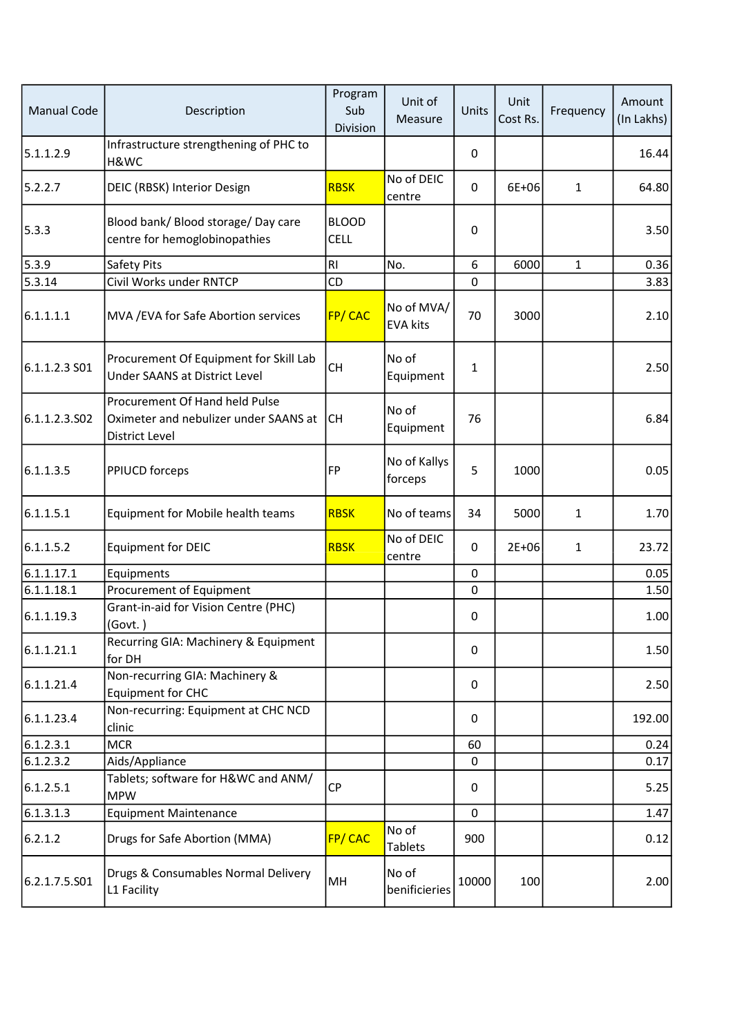| <b>Manual Code</b> | Description                                                                                      | Program<br>Sub<br>Division  | Unit of<br>Measure            | Units       | Unit<br>Cost Rs. | Frequency    | Amount<br>(In Lakhs) |
|--------------------|--------------------------------------------------------------------------------------------------|-----------------------------|-------------------------------|-------------|------------------|--------------|----------------------|
| 5.1.1.2.9          | Infrastructure strengthening of PHC to<br>H&WC                                                   |                             |                               | 0           |                  |              | 16.44                |
| 5.2.2.7            | DEIC (RBSK) Interior Design                                                                      | <b>RBSK</b>                 | No of DEIC<br>centre          | $\mathbf 0$ | 6E+06            | $\mathbf{1}$ | 64.80                |
| 5.3.3              | Blood bank/ Blood storage/ Day care<br>centre for hemoglobinopathies                             | <b>BLOOD</b><br><b>CELL</b> |                               | 0           |                  |              | 3.50                 |
| 5.3.9              | Safety Pits                                                                                      | RI                          | No.                           | 6           | 6000             | $\mathbf{1}$ | 0.36                 |
| 5.3.14             | Civil Works under RNTCP                                                                          | CD                          |                               | 0           |                  |              | 3.83                 |
| 6.1.1.1.1          | MVA / EVA for Safe Abortion services                                                             | <b>FP/CAC</b>               | No of MVA/<br><b>EVA kits</b> | 70          | 3000             |              | 2.10                 |
| 6.1.1.2.3 S01      | Procurement Of Equipment for Skill Lab<br>Under SAANS at District Level                          | <b>CH</b>                   | No of<br>Equipment            | 1           |                  |              | 2.50                 |
| 6.1.1.2.3.502      | Procurement Of Hand held Pulse<br>Oximeter and nebulizer under SAANS at<br><b>District Level</b> | lсн                         | No of<br>Equipment            | 76          |                  |              | 6.84                 |
| 6.1.1.3.5          | PPIUCD forceps                                                                                   | <b>FP</b>                   | No of Kallys<br>forceps       | 5           | 1000             |              | 0.05                 |
| 6.1.1.5.1          | Equipment for Mobile health teams                                                                | <b>RBSK</b>                 | No of teams                   | 34          | 5000             | $\mathbf{1}$ | 1.70                 |
| 6.1.1.5.2          | <b>Equipment for DEIC</b>                                                                        | <b>RBSK</b>                 | No of DEIC<br>centre          | $\Omega$    | $2E + 06$        | 1            | 23.72                |
| 6.1.1.17.1         | Equipments                                                                                       |                             |                               | 0           |                  |              | 0.05                 |
| 6.1.1.18.1         | Procurement of Equipment                                                                         |                             |                               | 0           |                  |              | 1.50                 |
| 6.1.1.19.3         | Grant-in-aid for Vision Centre (PHC)<br>(Govt.)                                                  |                             |                               | 0           |                  |              | 1.00                 |
| 6.1.1.21.1         | Recurring GIA: Machinery & Equipment<br>for DH                                                   |                             |                               | 0           |                  |              | 1.50                 |
| 6.1.1.21.4         | Non-recurring GIA: Machinery &<br><b>Equipment for CHC</b>                                       |                             |                               | 0           |                  |              | 2.50                 |
| 6.1.1.23.4         | Non-recurring: Equipment at CHC NCD<br>clinic                                                    |                             |                               | 0           |                  |              | 192.00               |
| 6.1.2.3.1          | <b>MCR</b>                                                                                       |                             |                               | 60          |                  |              | 0.24                 |
| 6.1.2.3.2          | Aids/Appliance                                                                                   |                             |                               | 0           |                  |              | 0.17                 |
| 6.1.2.5.1          | Tablets; software for H&WC and ANM/<br><b>MPW</b>                                                | <b>CP</b>                   |                               | 0           |                  |              | 5.25                 |
| 6.1.3.1.3          | <b>Equipment Maintenance</b>                                                                     |                             |                               | 0           |                  |              | 1.47                 |
| 6.2.1.2            | Drugs for Safe Abortion (MMA)                                                                    | FP/CAC                      | No of<br><b>Tablets</b>       | 900         |                  |              | 0.12                 |
| 6.2.1.7.5.501      | Drugs & Consumables Normal Delivery<br>L1 Facility                                               | MH                          | No of<br>benificieries        | 10000       | 100              |              | 2.00                 |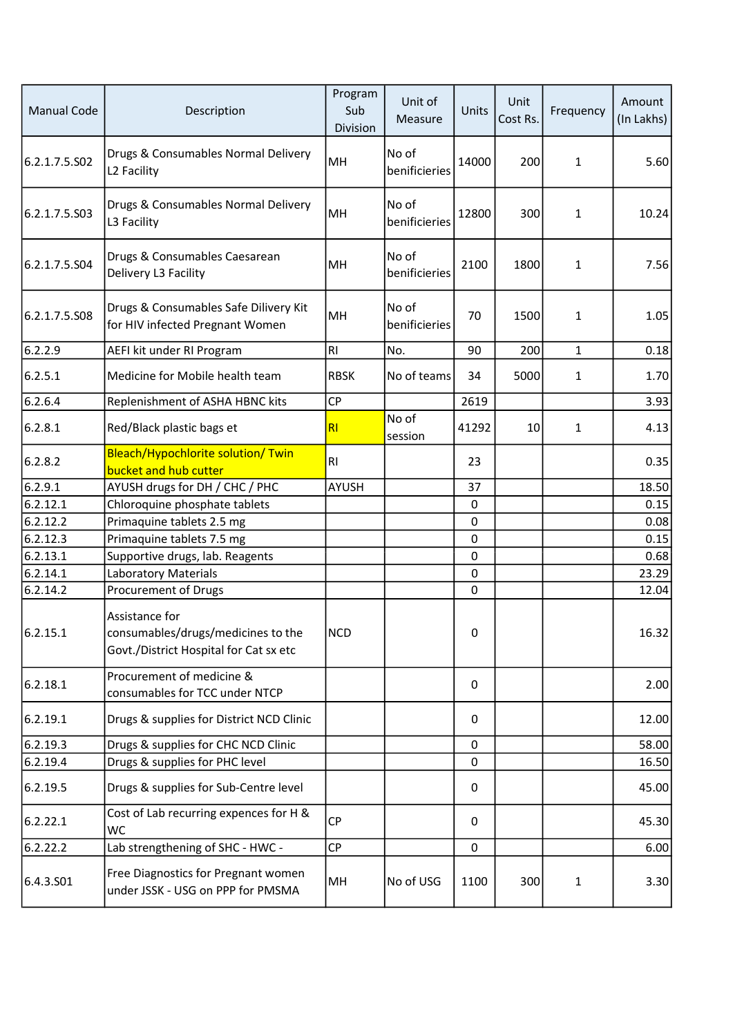| Manual Code   | Description                                                                                    | Program<br>Sub<br>Division | Unit of<br>Measure     | Units | Unit<br>Cost Rs. | Frequency    | Amount<br>(In Lakhs) |
|---------------|------------------------------------------------------------------------------------------------|----------------------------|------------------------|-------|------------------|--------------|----------------------|
| 6.2.1.7.5.S02 | Drugs & Consumables Normal Delivery<br>L2 Facility                                             | MH                         | No of<br>benificieries | 14000 | 200              | $\mathbf{1}$ | 5.60                 |
| 6.2.1.7.5.503 | Drugs & Consumables Normal Delivery<br>L3 Facility                                             | MH                         | No of<br>benificieries | 12800 | 300              | $\mathbf{1}$ | 10.24                |
| 6.2.1.7.5.504 | Drugs & Consumables Caesarean<br>Delivery L3 Facility                                          | MH                         | No of<br>benificieries | 2100  | 1800             | 1            | 7.56                 |
| 6.2.1.7.5.508 | Drugs & Consumables Safe Dilivery Kit<br>for HIV infected Pregnant Women                       | MH                         | No of<br>benificieries | 70    | 1500             | 1            | 1.05                 |
| 6.2.2.9       | AEFI kit under RI Program                                                                      | R <sub>1</sub>             | No.                    | 90    | 200              | 1            | 0.18                 |
| 6.2.5.1       | Medicine for Mobile health team                                                                | <b>RBSK</b>                | No of teams            | 34    | 5000             | $\mathbf{1}$ | 1.70                 |
| 6.2.6.4       | Replenishment of ASHA HBNC kits                                                                | CP                         |                        | 2619  |                  |              | 3.93                 |
| 6.2.8.1       | Red/Black plastic bags et                                                                      | R <sub>1</sub>             | No of<br>session       | 41292 | 10               | $\mathbf{1}$ | 4.13                 |
| 6.2.8.2       | Bleach/Hypochlorite solution/ Twin<br>bucket and hub cutter                                    | R1                         |                        | 23    |                  |              | 0.35                 |
| 6.2.9.1       | AYUSH drugs for DH / CHC / PHC                                                                 | <b>AYUSH</b>               |                        | 37    |                  |              | 18.50                |
| 6.2.12.1      | Chloroquine phosphate tablets                                                                  |                            |                        | 0     |                  |              | 0.15                 |
| 6.2.12.2      | Primaquine tablets 2.5 mg                                                                      |                            |                        | 0     |                  |              | 0.08                 |
| 6.2.12.3      | Primaquine tablets 7.5 mg                                                                      |                            |                        | 0     |                  |              | 0.15                 |
| 6.2.13.1      | Supportive drugs, lab. Reagents                                                                |                            |                        | 0     |                  |              | 0.68                 |
| 6.2.14.1      | <b>Laboratory Materials</b>                                                                    |                            |                        | 0     |                  |              | 23.29                |
| 6.2.14.2      | Procurement of Drugs                                                                           |                            |                        | 0     |                  |              | 12.04                |
| 6.2.15.1      | Assistance for<br>consumables/drugs/medicines to the<br>Govt./District Hospital for Cat sx etc | NCD                        |                        | 0     |                  |              | 16.32                |
| 6.2.18.1      | Procurement of medicine &<br>consumables for TCC under NTCP                                    |                            |                        | 0     |                  |              | 2.00                 |
| 6.2.19.1      | Drugs & supplies for District NCD Clinic                                                       |                            |                        | 0     |                  |              | 12.00                |
| 6.2.19.3      | Drugs & supplies for CHC NCD Clinic                                                            |                            |                        | 0     |                  |              | 58.00                |
| 6.2.19.4      | Drugs & supplies for PHC level                                                                 |                            |                        | 0     |                  |              | 16.50                |
| 6.2.19.5      | Drugs & supplies for Sub-Centre level                                                          |                            |                        | 0     |                  |              | 45.00                |
| 6.2.22.1      | Cost of Lab recurring expences for H &<br>WC                                                   | <b>CP</b>                  |                        | 0     |                  |              | 45.30                |
| 6.2.22.2      | Lab strengthening of SHC - HWC -                                                               | <b>CP</b>                  |                        | 0     |                  |              | 6.00                 |
| 6.4.3.501     | Free Diagnostics for Pregnant women<br>under JSSK - USG on PPP for PMSMA                       | MH                         | No of USG              | 1100  | 300              | $\mathbf{1}$ | 3.30                 |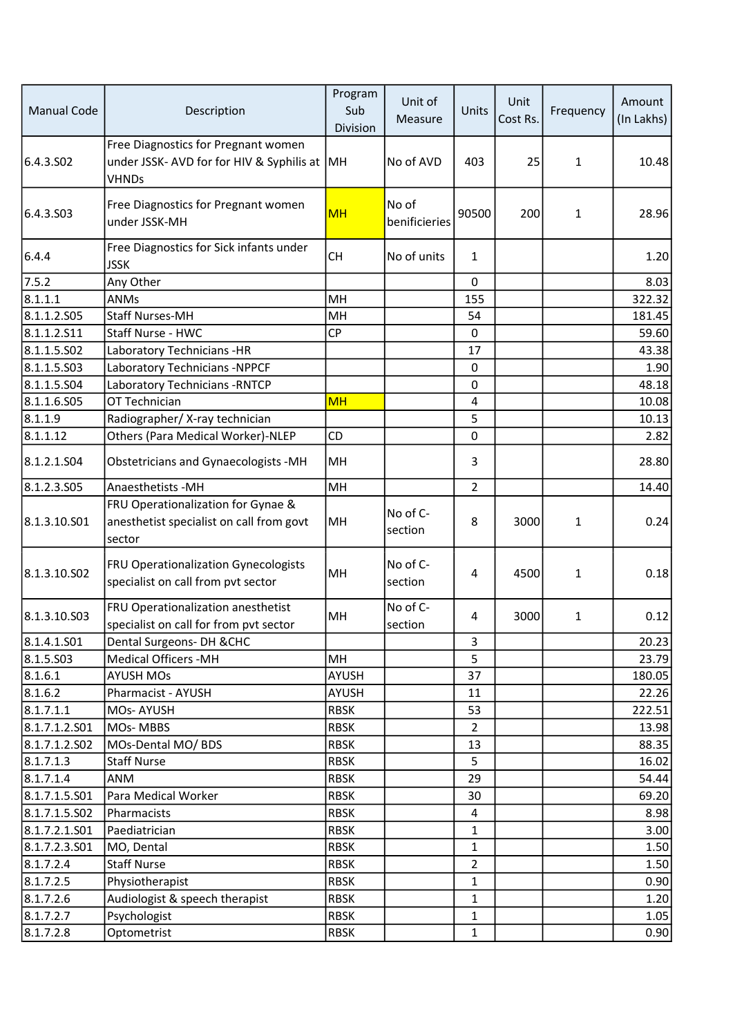| <b>Manual Code</b> | Description                                                                                      | Program<br>Sub<br>Division | Unit of<br>Measure     | Units          | Unit<br>Cost Rs. | Frequency    | Amount<br>(In Lakhs) |
|--------------------|--------------------------------------------------------------------------------------------------|----------------------------|------------------------|----------------|------------------|--------------|----------------------|
| 6.4.3.502          | Free Diagnostics for Pregnant women<br>under JSSK- AVD for for HIV & Syphilis at<br><b>VHNDs</b> | MH                         | No of AVD              | 403            | 25               | 1            | 10.48                |
| 6.4.3.503          | Free Diagnostics for Pregnant women<br>under JSSK-MH                                             | <b>MH</b>                  | No of<br>benificieries | 90500          | 200              | 1            | 28.96                |
| 6.4.4              | Free Diagnostics for Sick infants under<br><b>JSSK</b>                                           | <b>CH</b>                  | No of units            | $\mathbf{1}$   |                  |              | 1.20                 |
| 7.5.2              | Any Other                                                                                        |                            |                        | $\mathbf 0$    |                  |              | 8.03                 |
| 8.1.1.1            | <b>ANMs</b>                                                                                      | MH                         |                        | 155            |                  |              | 322.32               |
| 8.1.1.2.S05        | <b>Staff Nurses-MH</b>                                                                           | MH                         |                        | 54             |                  |              | 181.45               |
| 8.1.1.2.S11        | Staff Nurse - HWC                                                                                | CP                         |                        | $\pmb{0}$      |                  |              | 59.60                |
| 8.1.1.5.S02        | Laboratory Technicians - HR                                                                      |                            |                        | 17             |                  |              | 43.38                |
| 8.1.1.5.S03        | <b>Laboratory Technicians -NPPCF</b>                                                             |                            |                        | 0              |                  |              | 1.90                 |
| 8.1.1.5.504        | Laboratory Technicians - RNTCP                                                                   |                            |                        | 0              |                  |              | 48.18                |
| 8.1.1.6.S05        | OT Technician                                                                                    | <b>MH</b>                  |                        | 4              |                  |              | 10.08                |
| 8.1.1.9            | Radiographer/ X-ray technician                                                                   |                            |                        | 5              |                  |              | 10.13                |
| 8.1.1.12           | Others (Para Medical Worker)-NLEP                                                                | CD                         |                        | 0              |                  |              | 2.82                 |
| 8.1.2.1.504        | Obstetricians and Gynaecologists -MH                                                             | MH                         |                        | 3              |                  |              | 28.80                |
| 8.1.2.3.505        | Anaesthetists - MH                                                                               | MH                         |                        | $\overline{2}$ |                  |              | 14.40                |
|                    | FRU Operationalization for Gynae &                                                               |                            |                        |                |                  |              |                      |
| 8.1.3.10.S01       | anesthetist specialist on call from govt<br>sector                                               | MH                         | No of C-<br>section    | 8              | 3000             | $\mathbf{1}$ | 0.24                 |
| 8.1.3.10.S02       | FRU Operationalization Gynecologists<br>specialist on call from pvt sector                       | MH                         | No of C-<br>section    | 4              | 4500             | 1            | 0.18                 |
| 8.1.3.10.S03       | FRU Operationalization anesthetist<br>specialist on call for from pvt sector                     | MH                         | No of C-<br>section    | 4              | 3000             | $\mathbf{1}$ | 0.12                 |
| 8.1.4.1.501        | Dental Surgeons- DH & CHC                                                                        |                            |                        | 3              |                  |              | 20.23                |
| 8.1.5.503          | Medical Officers - MH                                                                            | MH                         |                        | 5              |                  |              | 23.79                |
| 8.1.6.1            | <b>AYUSH MOs</b>                                                                                 | AYUSH                      |                        | 37             |                  |              | 180.05               |
| 8.1.6.2            | Pharmacist - AYUSH                                                                               | AYUSH                      |                        | 11             |                  |              | 22.26                |
| 8.1.7.1.1          | MOs-AYUSH                                                                                        | <b>RBSK</b>                |                        | 53             |                  |              | 222.51               |
| 8.1.7.1.2.501      | MOs-MBBS                                                                                         | <b>RBSK</b>                |                        | $\overline{2}$ |                  |              | 13.98                |
| 8.1.7.1.2.502      | MOs-Dental MO/ BDS                                                                               | <b>RBSK</b>                |                        | 13             |                  |              | 88.35                |
| 8.1.7.1.3          | <b>Staff Nurse</b>                                                                               | <b>RBSK</b>                |                        | 5              |                  |              | 16.02                |
| 8.1.7.1.4          | ANM                                                                                              | <b>RBSK</b>                |                        | 29             |                  |              | 54.44                |
| 8.1.7.1.5.501      | Para Medical Worker                                                                              | <b>RBSK</b>                |                        | 30             |                  |              | 69.20                |
| 8.1.7.1.5.502      | Pharmacists                                                                                      | <b>RBSK</b>                |                        | 4              |                  |              | 8.98                 |
| 8.1.7.2.1.501      | Paediatrician                                                                                    | <b>RBSK</b>                |                        | $\mathbf{1}$   |                  |              | 3.00                 |
| 8.1.7.2.3.501      | MO, Dental                                                                                       | <b>RBSK</b>                |                        | $\mathbf{1}$   |                  |              | 1.50                 |
| 8.1.7.2.4          | <b>Staff Nurse</b>                                                                               | <b>RBSK</b>                |                        | $\overline{2}$ |                  |              | 1.50                 |
| 8.1.7.2.5          | Physiotherapist                                                                                  | <b>RBSK</b>                |                        | $\mathbf{1}$   |                  |              | 0.90                 |
| 8.1.7.2.6          | Audiologist & speech therapist                                                                   | <b>RBSK</b>                |                        | $\mathbf{1}$   |                  |              | 1.20                 |
| 8.1.7.2.7          | Psychologist                                                                                     | <b>RBSK</b>                |                        | 1              |                  |              | 1.05                 |
| 8.1.7.2.8          | Optometrist                                                                                      | <b>RBSK</b>                |                        | $\mathbf{1}$   |                  |              | 0.90                 |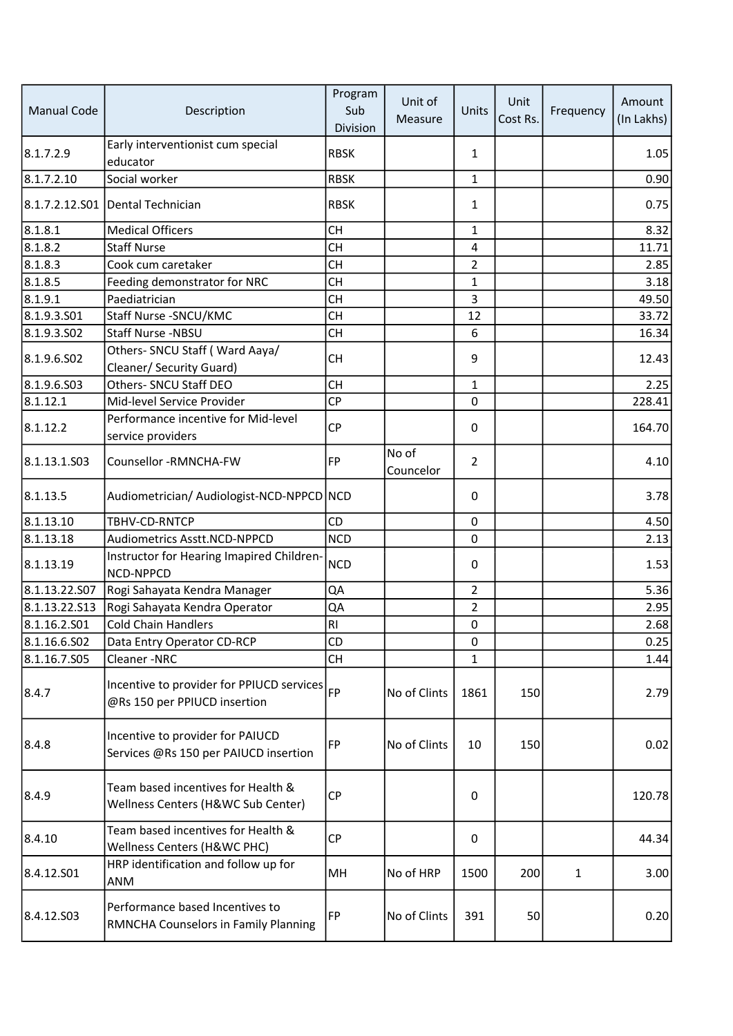| <b>Manual Code</b> | Description                                                               | Program<br>Sub<br>Division | Unit of<br>Measure | Units          | Unit<br>Cost Rs. | Frequency    | Amount<br>(In Lakhs) |
|--------------------|---------------------------------------------------------------------------|----------------------------|--------------------|----------------|------------------|--------------|----------------------|
| 8.1.7.2.9          | Early interventionist cum special<br>educator                             | <b>RBSK</b>                |                    | $\mathbf{1}$   |                  |              | 1.05                 |
| 8.1.7.2.10         | Social worker                                                             | <b>RBSK</b>                |                    | $\mathbf{1}$   |                  |              | 0.90                 |
|                    | 8.1.7.2.12.S01 Dental Technician                                          | <b>RBSK</b>                |                    | 1              |                  |              | 0.75                 |
| 8.1.8.1            | <b>Medical Officers</b>                                                   | <b>CH</b>                  |                    | $\mathbf{1}$   |                  |              | 8.32                 |
| 8.1.8.2            | <b>Staff Nurse</b>                                                        | <b>CH</b>                  |                    | 4              |                  |              | 11.71                |
| 8.1.8.3            | Cook cum caretaker                                                        | <b>CH</b>                  |                    | $\overline{2}$ |                  |              | 2.85                 |
| 8.1.8.5            | Feeding demonstrator for NRC                                              | <b>CH</b>                  |                    | $\mathbf{1}$   |                  |              | 3.18                 |
| 8.1.9.1            | Paediatrician                                                             | <b>CH</b>                  |                    | 3              |                  |              | 49.50                |
| 8.1.9.3.501        | Staff Nurse - SNCU/KMC                                                    | CH                         |                    | 12             |                  |              | 33.72                |
| 8.1.9.3.502        | Staff Nurse -NBSU                                                         | <b>CH</b>                  |                    | 6              |                  |              | 16.34                |
| 8.1.9.6.502        | Others- SNCU Staff (Ward Aaya/<br>Cleaner/ Security Guard)                | <b>CH</b>                  |                    | 9              |                  |              | 12.43                |
| 8.1.9.6.503        | Others- SNCU Staff DEO                                                    | <b>CH</b>                  |                    | $\mathbf{1}$   |                  |              | 2.25                 |
| 8.1.12.1           | Mid-level Service Provider                                                | CP                         |                    | 0              |                  |              | 228.41               |
| 8.1.12.2           | Performance incentive for Mid-level<br>service providers                  | <b>CP</b>                  |                    | 0              |                  |              | 164.70               |
| 8.1.13.1.S03       | Counsellor -RMNCHA-FW                                                     | <b>FP</b>                  | No of<br>Councelor | $\overline{2}$ |                  |              | 4.10                 |
| 8.1.13.5           | Audiometrician/ Audiologist-NCD-NPPCD NCD                                 |                            |                    | 0              |                  |              | 3.78                 |
| 8.1.13.10          | TBHV-CD-RNTCP                                                             | <b>CD</b>                  |                    | 0              |                  |              | 4.50                 |
| $\sqrt{8.1.13.18}$ | Audiometrics Asstt.NCD-NPPCD                                              | <b>NCD</b>                 |                    | 0              |                  |              | 2.13                 |
| 8.1.13.19          | Instructor for Hearing Imapired Children-<br><b>NCD-NPPCD</b>             | <b>NCD</b>                 |                    | 0              |                  |              | 1.53                 |
| 8.1.13.22.507      | Rogi Sahayata Kendra Manager                                              | QA                         |                    | $\overline{2}$ |                  |              | 5.36                 |
| 8.1.13.22.513      | Rogi Sahayata Kendra Operator                                             | QA                         |                    | $\overline{2}$ |                  |              | 2.95                 |
| 8.1.16.2.501       | <b>Cold Chain Handlers</b>                                                | R <sub>l</sub>             |                    | 0              |                  |              | 2.68                 |
| 8.1.16.6.S02       | Data Entry Operator CD-RCP                                                | CD                         |                    | 0              |                  |              | 0.25                 |
| 8.1.16.7.S05       | Cleaner-NRC                                                               | <b>CH</b>                  |                    | $\mathbf{1}$   |                  |              | 1.44                 |
| 8.4.7              | Incentive to provider for PPIUCD services<br>@Rs 150 per PPIUCD insertion | FP                         | No of Clints       | 1861           | 150              |              | 2.79                 |
| 8.4.8              | Incentive to provider for PAIUCD<br>Services @Rs 150 per PAIUCD insertion | <b>FP</b>                  | No of Clints       | 10             | 150              |              | 0.02                 |
| 8.4.9              | Team based incentives for Health &<br>Wellness Centers (H&WC Sub Center)  | <b>CP</b>                  |                    | 0              |                  |              | 120.78               |
| 8.4.10             | Team based incentives for Health &<br>Wellness Centers (H&WC PHC)         | CP                         |                    | 0              |                  |              | 44.34                |
| 8.4.12.S01         | HRP identification and follow up for<br>ANM                               | MН                         | No of HRP          | 1500           | 200              | $\mathbf{1}$ | 3.00                 |
| 8.4.12.S03         | Performance based Incentives to<br>RMNCHA Counselors in Family Planning   | FP                         | No of Clints       | 391            | 50               |              | 0.20                 |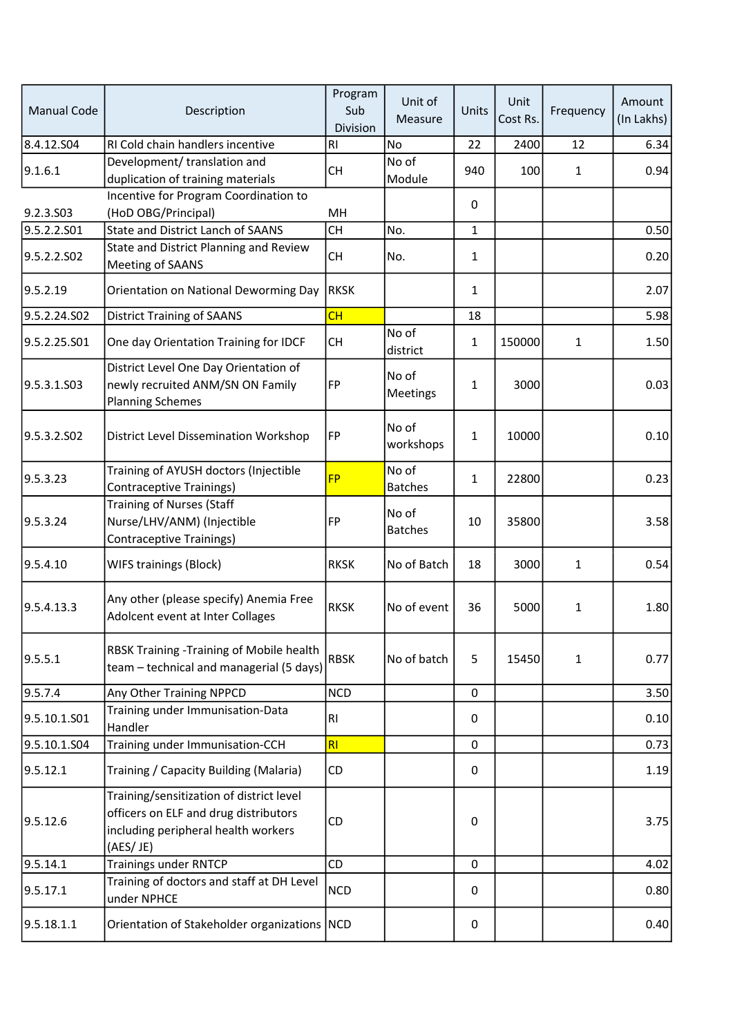| <b>Manual Code</b> | Description                                                                                                                          | Program<br>Sub<br>Division | Unit of<br>Measure      | Units       | Unit<br>Cost Rs. | Frequency    | Amount<br>(In Lakhs) |
|--------------------|--------------------------------------------------------------------------------------------------------------------------------------|----------------------------|-------------------------|-------------|------------------|--------------|----------------------|
| 8.4.12.504         | RI Cold chain handlers incentive                                                                                                     | R1                         | <b>No</b>               | 22          | 2400             | 12           | 6.34                 |
| 9.1.6.1            | Development/ translation and<br>duplication of training materials                                                                    | <b>CH</b>                  | No of<br>Module         | 940         | 100              | $\mathbf{1}$ | 0.94                 |
| 9.2.3.S03          | Incentive for Program Coordination to<br>(HoD OBG/Principal)                                                                         | MН                         |                         | 0           |                  |              |                      |
| 9.5.2.2.S01        | <b>State and District Lanch of SAANS</b>                                                                                             | <b>CH</b>                  | No.                     | 1           |                  |              | 0.50                 |
|                    | State and District Planning and Review                                                                                               |                            |                         |             |                  |              |                      |
| 9.5.2.2.SO2        | Meeting of SAANS                                                                                                                     | <b>CH</b>                  | No.                     | 1           |                  |              | 0.20                 |
| 9.5.2.19           | Orientation on National Deworming Day                                                                                                | <b>RKSK</b>                |                         | 1           |                  |              | 2.07                 |
| 9.5.2.24.S02       | <b>District Training of SAANS</b>                                                                                                    | CH                         |                         | 18          |                  |              | 5.98                 |
| 9.5.2.25.S01       | One day Orientation Training for IDCF                                                                                                | <b>CH</b>                  | No of<br>district       | 1           | 150000           | $\mathbf{1}$ | 1.50                 |
| 9.5.3.1.503        | District Level One Day Orientation of<br>newly recruited ANM/SN ON Family<br><b>Planning Schemes</b>                                 | FP                         | No of<br>Meetings       | $\mathbf 1$ | 3000             |              | 0.03                 |
| 9.5.3.2.SO2        | <b>District Level Dissemination Workshop</b>                                                                                         | FP                         | No of<br>workshops      | $\mathbf 1$ | 10000            |              | 0.10                 |
| 9.5.3.23           | Training of AYUSH doctors (Injectible<br><b>Contraceptive Trainings)</b>                                                             | <b>FP</b>                  | No of<br><b>Batches</b> | $\mathbf 1$ | 22800            |              | 0.23                 |
| 9.5.3.24           | <b>Training of Nurses (Staff</b><br>Nurse/LHV/ANM) (Injectible<br>Contraceptive Trainings)                                           | <b>FP</b>                  | No of<br><b>Batches</b> | 10          | 35800            |              | 3.58                 |
| 9.5.4.10           | WIFS trainings (Block)                                                                                                               | <b>RKSK</b>                | No of Batch             | 18          | 3000             | $\mathbf{1}$ | 0.54                 |
| 9.5.4.13.3         | Any other (please specify) Anemia Free<br>Adolcent event at Inter Collages                                                           | <b>RKSK</b>                | No of event             | 36          | 5000             | 1            | 1.80                 |
| 9.5.5.1            | RBSK Training -Training of Mobile health<br>team - technical and managerial (5 days)                                                 | <b>RBSK</b>                | No of batch             | 5           | 15450            | 1            | 0.77                 |
| 9.5.7.4            | Any Other Training NPPCD                                                                                                             | <b>NCD</b>                 |                         | $\mathbf 0$ |                  |              | 3.50                 |
| 9.5.10.1.S01       | Training under Immunisation-Data<br>Handler                                                                                          | R <sub>l</sub>             |                         | 0           |                  |              | 0.10                 |
| 9.5.10.1.S04       | Training under Immunisation-CCH                                                                                                      | RI                         |                         | 0           |                  |              | 0.73                 |
| 9.5.12.1           | Training / Capacity Building (Malaria)                                                                                               | CD                         |                         | 0           |                  |              | 1.19                 |
| 9.5.12.6           | Training/sensitization of district level<br>officers on ELF and drug distributors<br>including peripheral health workers<br>(AES/JE) | CD                         |                         | 0           |                  |              | 3.75                 |
| 9.5.14.1           | <b>Trainings under RNTCP</b>                                                                                                         | CD                         |                         | $\mathbf 0$ |                  |              | 4.02                 |
| 9.5.17.1           | Training of doctors and staff at DH Level<br>under NPHCE                                                                             | <b>NCD</b>                 |                         | 0           |                  |              | 0.80                 |
| 9.5.18.1.1         | Orientation of Stakeholder organizations NCD                                                                                         |                            |                         | $\mathbf 0$ |                  |              | 0.40                 |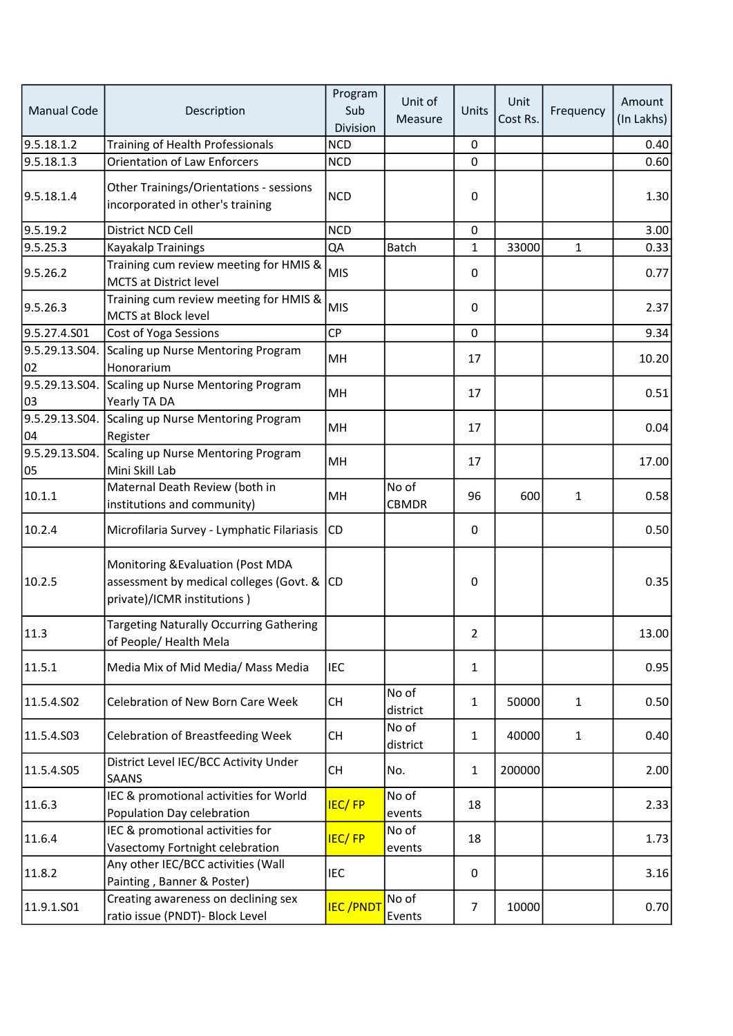| <b>Manual Code</b>   | Description                                                                                                    | Program<br>Sub<br>Division | Unit of<br>Measure    | Units          | Unit<br>Cost Rs. | Frequency    | Amount<br>(In Lakhs) |
|----------------------|----------------------------------------------------------------------------------------------------------------|----------------------------|-----------------------|----------------|------------------|--------------|----------------------|
| 9.5.18.1.2           | Training of Health Professionals                                                                               | <b>NCD</b>                 |                       | 0              |                  |              | 0.40                 |
| 9.5.18.1.3           | <b>Orientation of Law Enforcers</b>                                                                            | <b>NCD</b>                 |                       | 0              |                  |              | 0.60                 |
| 9.5.18.1.4           | Other Trainings/Orientations - sessions<br>incorporated in other's training                                    | <b>NCD</b>                 |                       | $\Omega$       |                  |              | 1.30                 |
| 9.5.19.2             | District NCD Cell                                                                                              | <b>NCD</b>                 |                       | 0              |                  |              | 3.00                 |
| 9.5.25.3             | Kayakalp Trainings                                                                                             | QA                         | Batch                 | 1              | 33000            | $\mathbf{1}$ | 0.33                 |
| 9.5.26.2             | Training cum review meeting for HMIS &<br><b>MCTS at District level</b>                                        | <b>MIS</b>                 |                       | 0              |                  |              | 0.77                 |
| 9.5.26.3             | Training cum review meeting for HMIS &<br>MCTS at Block level                                                  | <b>MIS</b>                 |                       | 0              |                  |              | 2.37                 |
| 9.5.27.4.S01         | Cost of Yoga Sessions                                                                                          | CP                         |                       | 0              |                  |              | 9.34                 |
| 9.5.29.13.S04.<br>02 | Scaling up Nurse Mentoring Program<br>Honorarium                                                               | MH                         |                       | 17             |                  |              | 10.20                |
| 03                   | 9.5.29.13.S04. Scaling up Nurse Mentoring Program<br>Yearly TA DA                                              | MH                         |                       | 17             |                  |              | 0.51                 |
| 9.5.29.13.S04.<br>04 | Scaling up Nurse Mentoring Program<br>Register                                                                 | MH                         |                       | 17             |                  |              | 0.04                 |
| 9.5.29.13.S04.<br>05 | Scaling up Nurse Mentoring Program<br>Mini Skill Lab                                                           | MH                         |                       | 17             |                  |              | 17.00                |
| 10.1.1               | Maternal Death Review (both in<br>institutions and community)                                                  | MH                         | No of<br><b>CBMDR</b> | 96             | 600              | $\mathbf{1}$ | 0.58                 |
| 10.2.4               | Microfilaria Survey - Lymphatic Filariasis                                                                     | <b>CD</b>                  |                       | 0              |                  |              | 0.50                 |
| 10.2.5               | Monitoring & Evaluation (Post MDA<br>assessment by medical colleges (Govt. & CD<br>private)/ICMR institutions) |                            |                       | 0              |                  |              | 0.35                 |
| 11.3                 | <b>Targeting Naturally Occurring Gathering</b><br>of People/ Health Mela                                       |                            |                       | 2              |                  |              | 13.00                |
| 11.5.1               | Media Mix of Mid Media/ Mass Media                                                                             | <b>IEC</b>                 |                       | $\mathbf{1}$   |                  |              | 0.95                 |
| 11.5.4.S02           | Celebration of New Born Care Week                                                                              | <b>CH</b>                  | No of<br>district     | $\mathbf{1}$   | 50000            | $\mathbf{1}$ | 0.50                 |
| 11.5.4.S03           | <b>Celebration of Breastfeeding Week</b>                                                                       | <b>CH</b>                  | No of<br>district     | $\mathbf{1}$   | 40000            | $\mathbf{1}$ | 0.40                 |
| 11.5.4.S05           | District Level IEC/BCC Activity Under<br><b>SAANS</b>                                                          | <b>CH</b>                  | No.                   | $\mathbf{1}$   | 200000           |              | 2.00                 |
| 11.6.3               | IEC & promotional activities for World<br>Population Day celebration                                           | <b>IEC/FP</b>              | No of<br>events       | 18             |                  |              | 2.33                 |
| 11.6.4               | IEC & promotional activities for<br>Vasectomy Fortnight celebration                                            | <b>IEC/FP</b>              | No of<br>events       | 18             |                  |              | 1.73                 |
| 11.8.2               | Any other IEC/BCC activities (Wall<br>Painting, Banner & Poster)                                               | <b>IEC</b>                 |                       | 0              |                  |              | 3.16                 |
| 11.9.1.S01           | Creating awareness on declining sex<br>ratio issue (PNDT)- Block Level                                         | <b>IEC/PNDT</b>            | No of<br>Events       | $\overline{7}$ | 10000            |              | 0.70                 |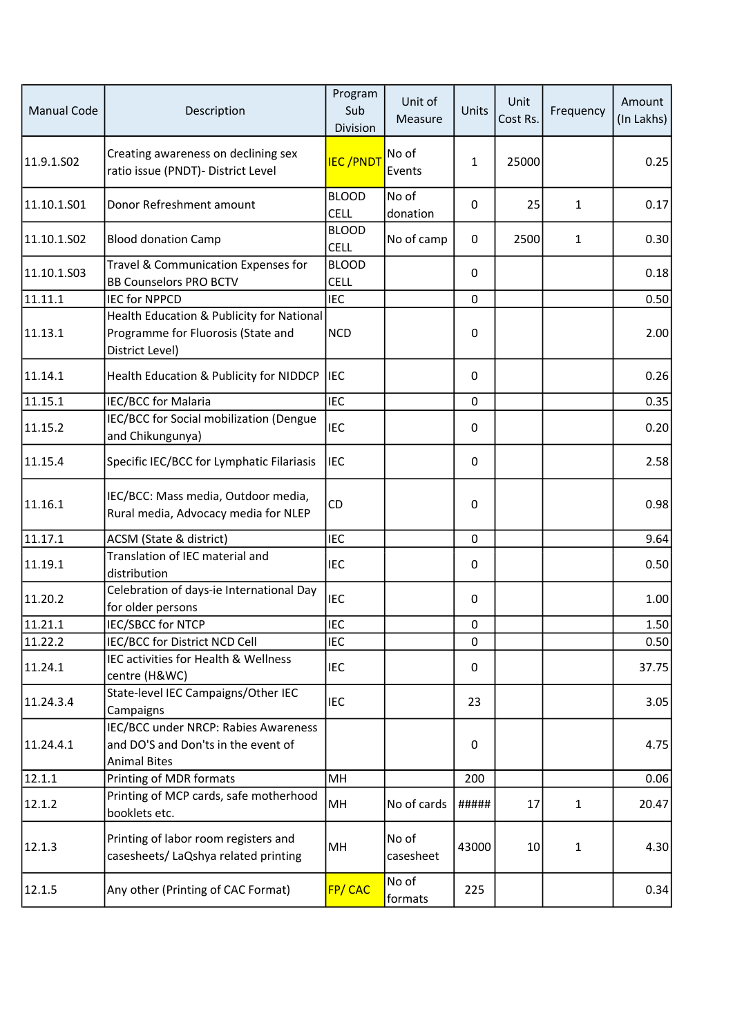| <b>Manual Code</b> | Description                                                                                        | Program<br>Sub<br>Division  | Unit of<br>Measure | Units | Unit<br>Cost Rs. | Frequency    | Amount<br>(In Lakhs) |
|--------------------|----------------------------------------------------------------------------------------------------|-----------------------------|--------------------|-------|------------------|--------------|----------------------|
| 11.9.1.SO2         | Creating awareness on declining sex<br>ratio issue (PNDT)- District Level                          | <b>IEC/PNDT</b>             | No of<br>Events    | 1     | 25000            |              | 0.25                 |
| 11.10.1.501        | Donor Refreshment amount                                                                           | <b>BLOOD</b><br><b>CELL</b> | No of<br>donation  | 0     | 25               | $\mathbf{1}$ | 0.17                 |
| 11.10.1.S02        | <b>Blood donation Camp</b>                                                                         | <b>BLOOD</b><br><b>CELL</b> | No of camp         | 0     | 2500             | $\mathbf{1}$ | 0.30                 |
| 11.10.1.503        | Travel & Communication Expenses for<br><b>BB Counselors PRO BCTV</b>                               | <b>BLOOD</b><br><b>CELL</b> |                    | 0     |                  |              | 0.18                 |
| 11.11.1            | <b>IEC for NPPCD</b>                                                                               | <b>IEC</b>                  |                    | 0     |                  |              | 0.50                 |
| 11.13.1            | Health Education & Publicity for National<br>Programme for Fluorosis (State and<br>District Level) | <b>NCD</b>                  |                    | 0     |                  |              | 2.00                 |
| 11.14.1            | Health Education & Publicity for NIDDCP                                                            | <b>IEC</b>                  |                    | 0     |                  |              | 0.26                 |
| 11.15.1            | IEC/BCC for Malaria                                                                                | <b>IEC</b>                  |                    | 0     |                  |              | 0.35                 |
| 11.15.2            | IEC/BCC for Social mobilization (Dengue<br>and Chikungunya)                                        | <b>IEC</b>                  |                    | 0     |                  |              | 0.20                 |
| 11.15.4            | Specific IEC/BCC for Lymphatic Filariasis                                                          | <b>IEC</b>                  |                    | 0     |                  |              | 2.58                 |
| 11.16.1            | IEC/BCC: Mass media, Outdoor media,<br>Rural media, Advocacy media for NLEP                        | CD                          |                    | 0     |                  |              | 0.98                 |
| 11.17.1            | ACSM (State & district)                                                                            | <b>IEC</b>                  |                    | 0     |                  |              | 9.64                 |
| 11.19.1            | Translation of IEC material and<br>distribution                                                    | <b>IEC</b>                  |                    | 0     |                  |              | 0.50                 |
| 11.20.2            | Celebration of days-ie International Day<br>for older persons                                      | <b>IEC</b>                  |                    | 0     |                  |              | 1.00                 |
| 11.21.1            | IEC/SBCC for NTCP                                                                                  | <b>IEC</b>                  |                    | 0     |                  |              | 1.50                 |
| 11.22.2            | IEC/BCC for District NCD Cell                                                                      | <b>IEC</b>                  |                    | 0     |                  |              | 0.50                 |
| 11.24.1            | IEC activities for Health & Wellness<br>centre (H&WC)                                              | IEC                         |                    | 0     |                  |              | 37.75                |
| 11.24.3.4          | State-level IEC Campaigns/Other IEC<br>Campaigns                                                   | <b>IEC</b>                  |                    | 23    |                  |              | 3.05                 |
| 11.24.4.1          | IEC/BCC under NRCP: Rabies Awareness<br>and DO'S and Don'ts in the event of<br><b>Animal Bites</b> |                             |                    | 0     |                  |              | 4.75                 |
| 12.1.1             | Printing of MDR formats                                                                            | MH                          |                    | 200   |                  |              | 0.06                 |
| 12.1.2             | Printing of MCP cards, safe motherhood<br>booklets etc.                                            | MH                          | No of cards        | ##### | 17               | $\mathbf{1}$ | 20.47                |
| 12.1.3             | Printing of labor room registers and<br>casesheets/ LaQshya related printing                       | MH                          | No of<br>casesheet | 43000 | 10               | 1            | 4.30                 |
| 12.1.5             | Any other (Printing of CAC Format)                                                                 | <b>FP/CAC</b>               | No of<br>formats   | 225   |                  |              | 0.34                 |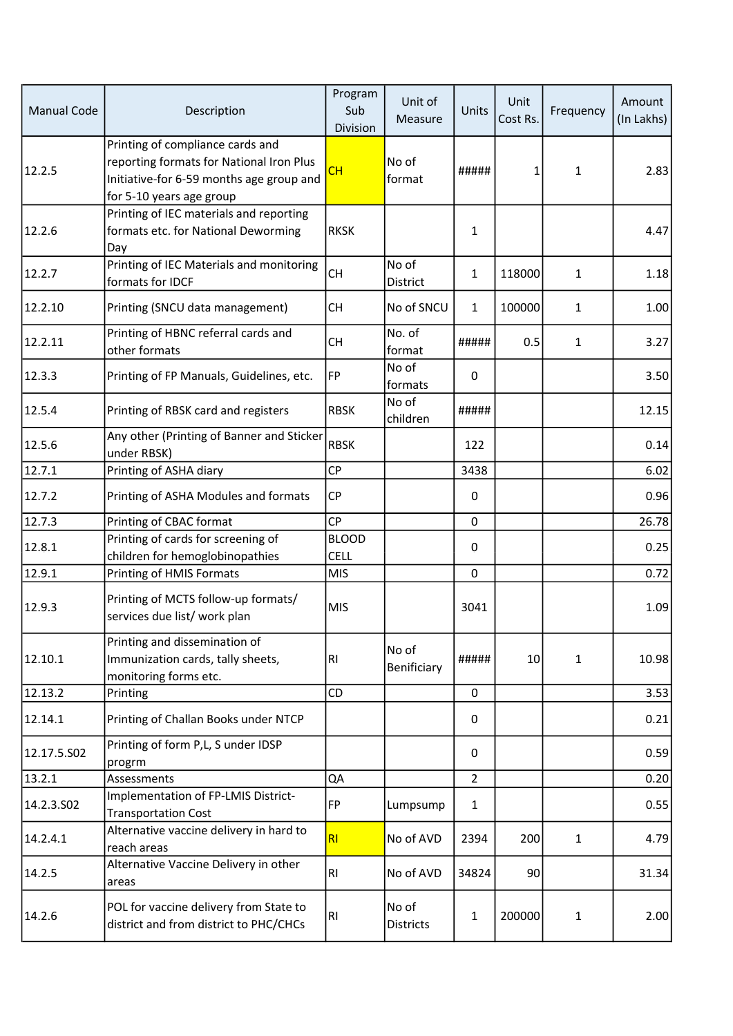| <b>Manual Code</b> | Description                                                                                                                                          | Program<br>Sub<br>Division  | Unit of<br>Measure        | Units          | Unit<br>Cost Rs. | Frequency    | Amount<br>(In Lakhs) |
|--------------------|------------------------------------------------------------------------------------------------------------------------------------------------------|-----------------------------|---------------------------|----------------|------------------|--------------|----------------------|
| 12.2.5             | Printing of compliance cards and<br>reporting formats for National Iron Plus<br>Initiative-for 6-59 months age group and<br>for 5-10 years age group | CH                          | No of<br>format           | #####          | 1                | $\mathbf{1}$ | 2.83                 |
| 12.2.6             | Printing of IEC materials and reporting<br>formats etc. for National Deworming<br>Day                                                                | <b>RKSK</b>                 |                           | 1              |                  |              | 4.47                 |
| 12.2.7             | Printing of IEC Materials and monitoring<br>formats for IDCF                                                                                         | <b>CH</b>                   | No of<br>District         | $\mathbf{1}$   | 118000           | $\mathbf{1}$ | 1.18                 |
| 12.2.10            | Printing (SNCU data management)                                                                                                                      | <b>CH</b>                   | No of SNCU                | $\mathbf{1}$   | 100000           | $\mathbf{1}$ | 1.00                 |
| 12.2.11            | Printing of HBNC referral cards and<br>other formats                                                                                                 | <b>CH</b>                   | No. of<br>format          | #####          | 0.5              | $\mathbf{1}$ | 3.27                 |
| 12.3.3             | Printing of FP Manuals, Guidelines, etc.                                                                                                             | FP                          | No of<br>formats          | 0              |                  |              | 3.50                 |
| 12.5.4             | Printing of RBSK card and registers                                                                                                                  | <b>RBSK</b>                 | No of<br>children         | #####          |                  |              | 12.15                |
| 12.5.6             | Any other (Printing of Banner and Sticker<br>under RBSK)                                                                                             | <b>RBSK</b>                 |                           | 122            |                  |              | 0.14                 |
| 12.7.1             | Printing of ASHA diary                                                                                                                               | <b>CP</b>                   |                           | 3438           |                  |              | 6.02                 |
| 12.7.2             | Printing of ASHA Modules and formats                                                                                                                 | <b>CP</b>                   |                           | 0              |                  |              | 0.96                 |
| 12.7.3             | Printing of CBAC format                                                                                                                              | <b>CP</b>                   |                           | 0              |                  |              | 26.78                |
| 12.8.1             | Printing of cards for screening of<br>children for hemoglobinopathies                                                                                | <b>BLOOD</b><br><b>CELL</b> |                           | 0              |                  |              | 0.25                 |
| 12.9.1             | Printing of HMIS Formats                                                                                                                             | <b>MIS</b>                  |                           | 0              |                  |              | 0.72                 |
| 12.9.3             | Printing of MCTS follow-up formats/<br>services due list/ work plan                                                                                  | <b>MIS</b>                  |                           | 3041           |                  |              | 1.09                 |
| 12.10.1            | Printing and dissemination of<br>Immunization cards, tally sheets,<br>monitoring forms etc.                                                          | R1                          | No of<br>Benificiary      | #####          | 10               | 1            | 10.98                |
| 12.13.2            | Printing                                                                                                                                             | CD                          |                           | 0              |                  |              | 3.53                 |
| 12.14.1            | Printing of Challan Books under NTCP                                                                                                                 |                             |                           | 0              |                  |              | 0.21                 |
| 12.17.5.502        | Printing of form P,L, S under IDSP<br>progrm                                                                                                         |                             |                           | 0              |                  |              | 0.59                 |
| 13.2.1             | Assessments                                                                                                                                          | QA                          |                           | $\overline{2}$ |                  |              | 0.20                 |
| 14.2.3.502         | Implementation of FP-LMIS District-<br><b>Transportation Cost</b>                                                                                    | FP                          | Lumpsump                  | 1              |                  |              | 0.55                 |
| 14.2.4.1           | Alternative vaccine delivery in hard to<br>reach areas                                                                                               | RI                          | No of AVD                 | 2394           | 200              | $\mathbf{1}$ | 4.79                 |
| 14.2.5             | Alternative Vaccine Delivery in other<br>areas                                                                                                       | R <sub>1</sub>              | No of AVD                 | 34824          | 90               |              | 31.34                |
| 14.2.6             | POL for vaccine delivery from State to<br>district and from district to PHC/CHCs                                                                     | RI                          | No of<br><b>Districts</b> | 1              | 200000           | $\mathbf{1}$ | 2.00                 |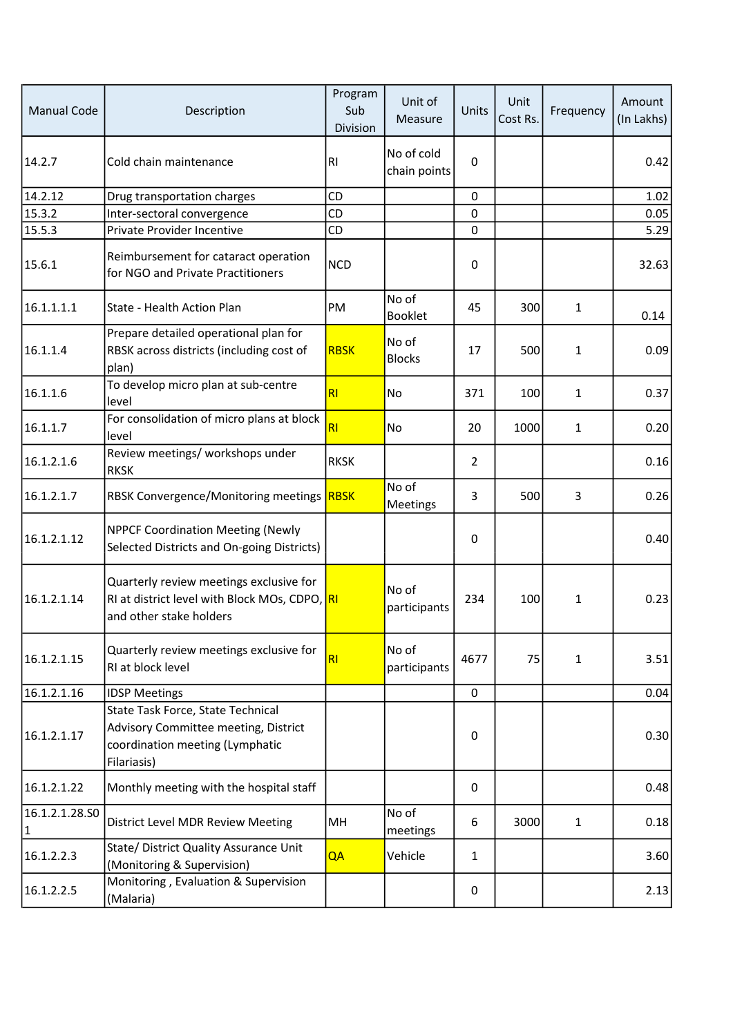| <b>Manual Code</b>   | Description                                                                                                                 | Program<br>Sub<br>Division | Unit of<br>Measure         | Units       | Unit<br>Cost Rs. | Frequency    | Amount<br>(In Lakhs) |
|----------------------|-----------------------------------------------------------------------------------------------------------------------------|----------------------------|----------------------------|-------------|------------------|--------------|----------------------|
| 14.2.7               | Cold chain maintenance                                                                                                      | R <sub>1</sub>             | No of cold<br>chain points | $\Omega$    |                  |              | 0.42                 |
| 14.2.12              | Drug transportation charges                                                                                                 | CD                         |                            | 0           |                  |              | 1.02                 |
| 15.3.2               | Inter-sectoral convergence                                                                                                  | CD                         |                            | 0           |                  |              | 0.05                 |
| 15.5.3               | Private Provider Incentive                                                                                                  | CD                         |                            | 0           |                  |              | 5.29                 |
| 15.6.1               | Reimbursement for cataract operation<br>for NGO and Private Practitioners                                                   | <b>NCD</b>                 |                            | 0           |                  |              | 32.63                |
| 16.1.1.1.1           | State - Health Action Plan                                                                                                  | PM                         | No of<br><b>Booklet</b>    | 45          | 300              | $\mathbf{1}$ | 0.14                 |
| 16.1.1.4             | Prepare detailed operational plan for<br>RBSK across districts (including cost of<br>plan)                                  | <b>RBSK</b>                | No of<br><b>Blocks</b>     | 17          | 500              | $\mathbf{1}$ | 0.09                 |
| 16.1.1.6             | To develop micro plan at sub-centre<br>level                                                                                | RI                         | <b>No</b>                  | 371         | 100              | $\mathbf{1}$ | 0.37                 |
| 16.1.1.7             | For consolidation of micro plans at block<br>level                                                                          | R1                         | No                         | 20          | 1000             | 1            | 0.20                 |
| 16.1.2.1.6           | Review meetings/ workshops under<br><b>RKSK</b>                                                                             | <b>RKSK</b>                |                            | 2           |                  |              | 0.16                 |
| 16.1.2.1.7           | RBSK Convergence/Monitoring meetings RBSK                                                                                   |                            | No of<br>Meetings          | 3           | 500              | 3            | 0.26                 |
| 16.1.2.1.12          | <b>NPPCF Coordination Meeting (Newly</b><br>Selected Districts and On-going Districts)                                      |                            |                            | 0           |                  |              | 0.40                 |
| 16.1.2.1.14          | Quarterly review meetings exclusive for<br>RI at district level with Block MOs, CDPO, RI<br>and other stake holders         |                            | No of<br>participants      | 234         | 100              | 1            | 0.23                 |
| 16.1.2.1.15          | Quarterly review meetings exclusive for<br>RI at block level                                                                | R1                         | No of<br>participants      | 4677        | 75               | 1            | 3.51                 |
| 16.1.2.1.16          | <b>IDSP Meetings</b>                                                                                                        |                            |                            | $\mathbf 0$ |                  |              | 0.04                 |
| 16.1.2.1.17          | State Task Force, State Technical<br>Advisory Committee meeting, District<br>coordination meeting (Lymphatic<br>Filariasis) |                            |                            | 0           |                  |              | 0.30                 |
| 16.1.2.1.22          | Monthly meeting with the hospital staff                                                                                     |                            |                            | 0           |                  |              | 0.48                 |
| 16.1.2.1.28.SO<br> 1 | District Level MDR Review Meeting                                                                                           | MH                         | No of<br>meetings          | 6           | 3000             | $\mathbf{1}$ | 0.18                 |
| 16.1.2.2.3           | State/ District Quality Assurance Unit<br>(Monitoring & Supervision)                                                        | QA                         | Vehicle                    | 1           |                  |              | 3.60                 |
| 16.1.2.2.5           | Monitoring, Evaluation & Supervision<br>(Malaria)                                                                           |                            |                            | 0           |                  |              | 2.13                 |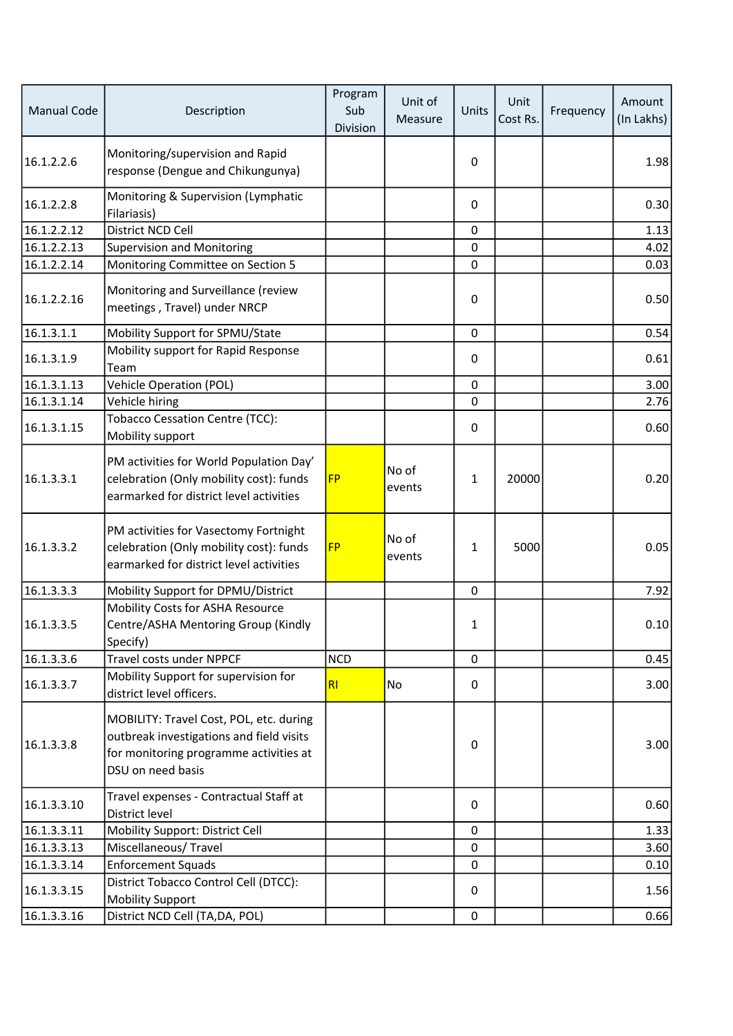| <b>Manual Code</b> | Description                                                                                                                                        | Program<br>Sub<br>Division | Unit of<br>Measure | Units       | Unit<br>Cost Rs. | Frequency | Amount<br>(In Lakhs) |
|--------------------|----------------------------------------------------------------------------------------------------------------------------------------------------|----------------------------|--------------------|-------------|------------------|-----------|----------------------|
| 16.1.2.2.6         | Monitoring/supervision and Rapid<br>response (Dengue and Chikungunya)                                                                              |                            |                    | 0           |                  |           | 1.98                 |
| 16.1.2.2.8         | Monitoring & Supervision (Lymphatic<br>Filariasis)                                                                                                 |                            |                    | 0           |                  |           | 0.30                 |
| 16.1.2.2.12        | District NCD Cell                                                                                                                                  |                            |                    | $\mathbf 0$ |                  |           | 1.13                 |
| 16.1.2.2.13        | <b>Supervision and Monitoring</b>                                                                                                                  |                            |                    | 0           |                  |           | 4.02                 |
| 16.1.2.2.14        | Monitoring Committee on Section 5                                                                                                                  |                            |                    | 0           |                  |           | 0.03                 |
| 16.1.2.2.16        | Monitoring and Surveillance (review<br>meetings, Travel) under NRCP                                                                                |                            |                    | 0           |                  |           | 0.50                 |
| 16.1.3.1.1         | Mobility Support for SPMU/State                                                                                                                    |                            |                    | 0           |                  |           | 0.54                 |
| 16.1.3.1.9         | Mobility support for Rapid Response<br>Team                                                                                                        |                            |                    | 0           |                  |           | 0.61                 |
| 16.1.3.1.13        | <b>Vehicle Operation (POL)</b>                                                                                                                     |                            |                    | 0           |                  |           | 3.00                 |
| 16.1.3.1.14        | Vehicle hiring                                                                                                                                     |                            |                    | 0           |                  |           | 2.76                 |
| 16.1.3.1.15        | <b>Tobacco Cessation Centre (TCC):</b><br>Mobility support                                                                                         |                            |                    | 0           |                  |           | 0.60                 |
| 16.1.3.3.1         | PM activities for World Population Day'<br>celebration (Only mobility cost): funds<br>earmarked for district level activities                      | <b>FP</b>                  | No of<br>events    | 1           | 20000            |           | 0.20                 |
| 16.1.3.3.2         | PM activities for Vasectomy Fortnight<br>celebration (Only mobility cost): funds<br>earmarked for district level activities                        | <b>FP</b>                  | No of<br>events    | 1           | 5000             |           | 0.05                 |
| 16.1.3.3.3         | Mobility Support for DPMU/District                                                                                                                 |                            |                    | 0           |                  |           | 7.92                 |
| 16.1.3.3.5         | Mobility Costs for ASHA Resource<br>Centre/ASHA Mentoring Group (Kindly<br>Specify)                                                                |                            |                    | 1           |                  |           | 0.10                 |
| 16.1.3.3.6         | Travel costs under NPPCF                                                                                                                           | <b>NCD</b>                 |                    | $\mathbf 0$ |                  |           | 0.45                 |
| 16.1.3.3.7         | Mobility Support for supervision for<br>district level officers.                                                                                   | RI                         | No                 | 0           |                  |           | 3.00                 |
| 16.1.3.3.8         | MOBILITY: Travel Cost, POL, etc. during<br>outbreak investigations and field visits<br>for monitoring programme activities at<br>DSU on need basis |                            |                    | 0           |                  |           | 3.00                 |
| 16.1.3.3.10        | Travel expenses - Contractual Staff at<br>District level                                                                                           |                            |                    | 0           |                  |           | 0.60                 |
| 16.1.3.3.11        | Mobility Support: District Cell                                                                                                                    |                            |                    | 0           |                  |           | 1.33                 |
| 16.1.3.3.13        | Miscellaneous/Travel                                                                                                                               |                            |                    | 0           |                  |           | 3.60                 |
| 16.1.3.3.14        | <b>Enforcement Squads</b>                                                                                                                          |                            |                    | 0           |                  |           | 0.10                 |
| 16.1.3.3.15        | District Tobacco Control Cell (DTCC):<br><b>Mobility Support</b>                                                                                   |                            |                    | 0           |                  |           | 1.56                 |
| 16.1.3.3.16        | District NCD Cell (TA, DA, POL)                                                                                                                    |                            |                    | $\mathbf 0$ |                  |           | 0.66                 |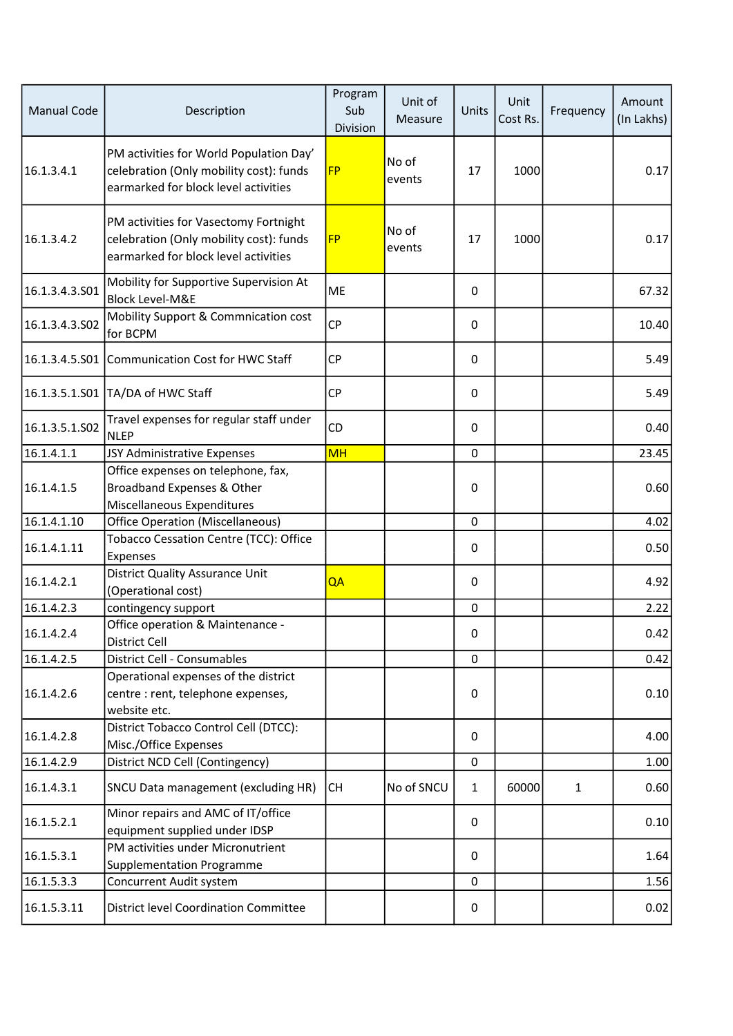| <b>Manual Code</b> | Description                                                                                                                | Program<br>Sub<br><b>Division</b> | Unit of<br>Measure | Units        | Unit<br>Cost Rs. | Frequency    | Amount<br>(In Lakhs) |
|--------------------|----------------------------------------------------------------------------------------------------------------------------|-----------------------------------|--------------------|--------------|------------------|--------------|----------------------|
| 16.1.3.4.1         | PM activities for World Population Day'<br>celebration (Only mobility cost): funds<br>earmarked for block level activities | <b>FP</b>                         | No of<br>events    | 17           | 1000             |              | 0.17                 |
| 16.1.3.4.2         | PM activities for Vasectomy Fortnight<br>celebration (Only mobility cost): funds<br>earmarked for block level activities   | <b>FP</b>                         | No of<br>events    | 17           | 1000             |              | 0.17                 |
| 16.1.3.4.3.501     | Mobility for Supportive Supervision At<br><b>Block Level-M&amp;E</b>                                                       | ME                                |                    | 0            |                  |              | 67.32                |
| 16.1.3.4.3.502     | Mobility Support & Commnication cost<br>for BCPM                                                                           | <b>CP</b>                         |                    | 0            |                  |              | 10.40                |
| 16.1.3.4.5.S01     | Communication Cost for HWC Staff                                                                                           | CP                                |                    | 0            |                  |              | 5.49                 |
|                    | 16.1.3.5.1.S01 TA/DA of HWC Staff                                                                                          | <b>CP</b>                         |                    | 0            |                  |              | 5.49                 |
| 16.1.3.5.1.S02     | Travel expenses for regular staff under<br><b>NLEP</b>                                                                     | CD                                |                    | 0            |                  |              | 0.40                 |
| 16.1.4.1.1         | JSY Administrative Expenses                                                                                                | <b>MH</b>                         |                    | 0            |                  |              | 23.45                |
| 16.1.4.1.5         | Office expenses on telephone, fax,<br>Broadband Expenses & Other<br>Miscellaneous Expenditures                             |                                   |                    | 0            |                  |              | 0.60                 |
| 16.1.4.1.10        | <b>Office Operation (Miscellaneous)</b>                                                                                    |                                   |                    | 0            |                  |              | 4.02                 |
| 16.1.4.1.11        | Tobacco Cessation Centre (TCC): Office<br>Expenses                                                                         |                                   |                    | 0            |                  |              | 0.50                 |
| 16.1.4.2.1         | <b>District Quality Assurance Unit</b><br>(Operational cost)                                                               | QA                                |                    | 0            |                  |              | 4.92                 |
| 16.1.4.2.3         | contingency support                                                                                                        |                                   |                    | 0            |                  |              | 2.22                 |
| 16.1.4.2.4         | Office operation & Maintenance -<br>District Cell                                                                          |                                   |                    | $\Omega$     |                  |              | 0.42                 |
| 16.1.4.2.5         | <b>District Cell - Consumables</b>                                                                                         |                                   |                    | $\mathbf 0$  |                  |              | 0.42                 |
| 16.1.4.2.6         | Operational expenses of the district<br>centre : rent, telephone expenses,<br>website etc.                                 |                                   |                    | 0            |                  |              | 0.10                 |
| 16.1.4.2.8         | District Tobacco Control Cell (DTCC):<br>Misc./Office Expenses                                                             |                                   |                    | 0            |                  |              | 4.00                 |
| 16.1.4.2.9         | District NCD Cell (Contingency)                                                                                            |                                   |                    | 0            |                  |              | 1.00                 |
| 16.1.4.3.1         | SNCU Data management (excluding HR)                                                                                        | <b>CH</b>                         | No of SNCU         | $\mathbf{1}$ | 60000            | $\mathbf{1}$ | 0.60                 |
| 16.1.5.2.1         | Minor repairs and AMC of IT/office<br>equipment supplied under IDSP                                                        |                                   |                    | 0            |                  |              | 0.10                 |
| 16.1.5.3.1         | PM activities under Micronutrient<br><b>Supplementation Programme</b>                                                      |                                   |                    | 0            |                  |              | 1.64                 |
| 16.1.5.3.3         | Concurrent Audit system                                                                                                    |                                   |                    | 0            |                  |              | 1.56                 |
| 16.1.5.3.11        | <b>District level Coordination Committee</b>                                                                               |                                   |                    | 0            |                  |              | 0.02                 |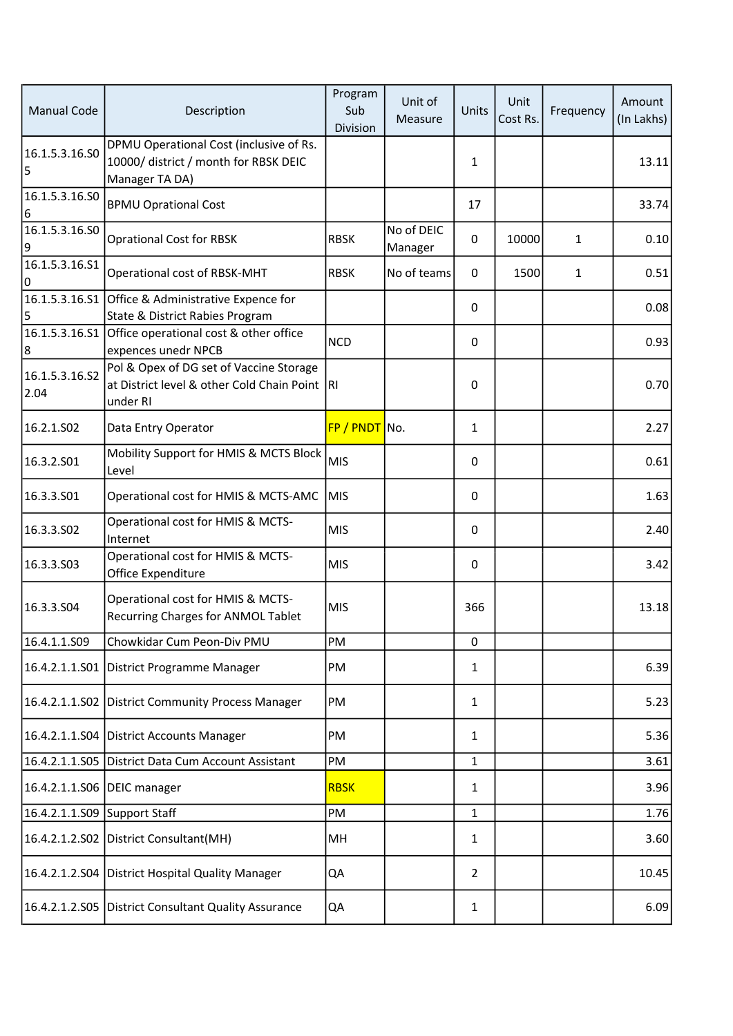| <b>Manual Code</b>     | Description                                                                                          | Program<br>Sub<br>Division | Unit of<br>Measure    | Units          | Unit<br>Cost Rs. | Frequency    | Amount<br>(In Lakhs) |
|------------------------|------------------------------------------------------------------------------------------------------|----------------------------|-----------------------|----------------|------------------|--------------|----------------------|
| 16.1.5.3.16.SO<br>5    | DPMU Operational Cost (inclusive of Rs.<br>10000/district / month for RBSK DEIC<br>Manager TA DA)    |                            |                       | 1              |                  |              | 13.11                |
| 16.1.5.3.16.SO<br>6    | <b>BPMU Oprational Cost</b>                                                                          |                            |                       | 17             |                  |              | 33.74                |
| 16.1.5.3.16.SO<br>9    | <b>Oprational Cost for RBSK</b>                                                                      | <b>RBSK</b>                | No of DEIC<br>Manager | $\Omega$       | 10000            | $\mathbf{1}$ | 0.10                 |
| 16.1.5.3.16.51<br>0    | Operational cost of RBSK-MHT                                                                         | <b>RBSK</b>                | No of teams           | $\mathbf{0}$   | 1500             | 1            | 0.51                 |
| 16.1.5.3.16.S1<br>5    | Office & Administrative Expence for<br>State & District Rabies Program                               |                            |                       | 0              |                  |              | 0.08                 |
| 16.1.5.3.16.S1<br>8    | Office operational cost & other office<br>expences unedr NPCB                                        | <b>NCD</b>                 |                       | $\Omega$       |                  |              | 0.93                 |
| 16.1.5.3.16.S2<br>2.04 | Pol & Opex of DG set of Vaccine Storage<br>at District level & other Cold Chain Point RI<br>under RI |                            |                       | $\Omega$       |                  |              | 0.70                 |
| 16.2.1.SO2             | Data Entry Operator                                                                                  | FP / PNDT No.              |                       | 1              |                  |              | 2.27                 |
| 16.3.2.501             | Mobility Support for HMIS & MCTS Block<br>Level                                                      | <b>MIS</b>                 |                       | $\Omega$       |                  |              | 0.61                 |
| 16.3.3.S01             | Operational cost for HMIS & MCTS-AMC                                                                 | <b>MIS</b>                 |                       | 0              |                  |              | 1.63                 |
| 16.3.3.502             | Operational cost for HMIS & MCTS-<br>Internet                                                        | <b>MIS</b>                 |                       | 0              |                  |              | 2.40                 |
| 16.3.3.503             | Operational cost for HMIS & MCTS-<br>Office Expenditure                                              | <b>MIS</b>                 |                       | 0              |                  |              | 3.42                 |
| 16.3.3.504             | Operational cost for HMIS & MCTS-<br>Recurring Charges for ANMOL Tablet                              | <b>MIS</b>                 |                       | 366            |                  |              | 13.18                |
| 16.4.1.1.S09           | Chowkidar Cum Peon-Div PMU                                                                           | PM                         |                       | 0              |                  |              |                      |
| 16.4.2.1.1.S01         | District Programme Manager                                                                           | PM                         |                       | 1              |                  |              | 6.39                 |
|                        | 16.4.2.1.1.S02 District Community Process Manager                                                    | PM                         |                       | 1              |                  |              | 5.23                 |
| 16.4.2.1.1.S04         | District Accounts Manager                                                                            | PM                         |                       | 1              |                  |              | 5.36                 |
| 16.4.2.1.1.S05         | District Data Cum Account Assistant                                                                  | PM                         |                       | 1              |                  |              | 3.61                 |
| 16.4.2.1.1.506         | DEIC manager                                                                                         | <b>RBSK</b>                |                       | 1              |                  |              | 3.96                 |
| 16.4.2.1.1.S09         | Support Staff                                                                                        | PM                         |                       | 1              |                  |              | 1.76                 |
| 16.4.2.1.2.502         | District Consultant(MH)                                                                              | MН                         |                       | 1              |                  |              | 3.60                 |
| 16.4.2.1.2.S04         | District Hospital Quality Manager                                                                    | QA                         |                       | $\overline{2}$ |                  |              | 10.45                |
|                        | 16.4.2.1.2.S05 District Consultant Quality Assurance                                                 | QA                         |                       | 1              |                  |              | 6.09                 |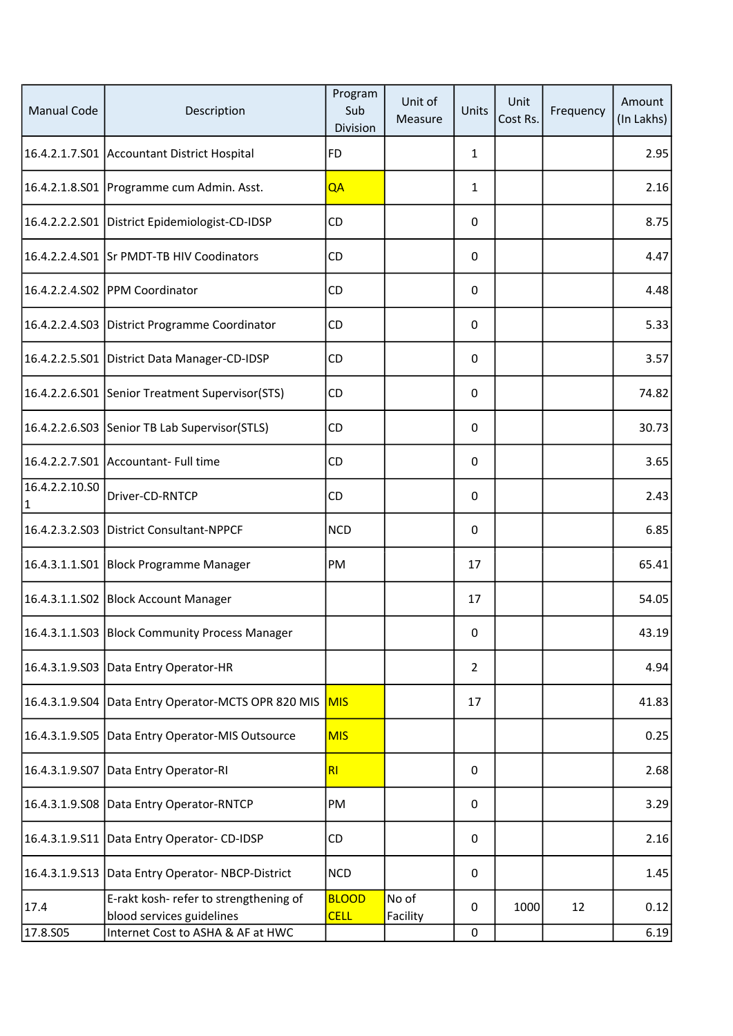| <b>Manual Code</b>   | Description                                                         | Program<br>Sub<br>Division  | Unit of<br>Measure | Units          | Unit<br>Cost Rs. | Frequency | Amount<br>(In Lakhs) |
|----------------------|---------------------------------------------------------------------|-----------------------------|--------------------|----------------|------------------|-----------|----------------------|
|                      | 16.4.2.1.7.S01 Accountant District Hospital                         | <b>FD</b>                   |                    | $\mathbf{1}$   |                  |           | 2.95                 |
|                      | 16.4.2.1.8.S01   Programme cum Admin. Asst.                         | QA                          |                    | 1              |                  |           | 2.16                 |
|                      | 16.4.2.2.2.S01 District Epidemiologist-CD-IDSP                      | CD                          |                    | 0              |                  |           | 8.75                 |
|                      | 16.4.2.2.4.S01 Sr PMDT-TB HIV Coodinators                           | CD                          |                    | 0              |                  |           | 4.47                 |
|                      | 16.4.2.2.4.S02 PPM Coordinator                                      | CD                          |                    | 0              |                  |           | 4.48                 |
|                      | 16.4.2.2.4.S03 District Programme Coordinator                       | <b>CD</b>                   |                    | 0              |                  |           | 5.33                 |
|                      | 16.4.2.2.5.S01 District Data Manager-CD-IDSP                        | <b>CD</b>                   |                    | 0              |                  |           | 3.57                 |
|                      | 16.4.2.2.6.S01 Senior Treatment Supervisor (STS)                    | <b>CD</b>                   |                    | 0              |                  |           | 74.82                |
|                      | 16.4.2.2.6.S03 Senior TB Lab Supervisor(STLS)                       | <b>CD</b>                   |                    | 0              |                  |           | 30.73                |
|                      | 16.4.2.2.7.S01 Accountant- Full time                                | <b>CD</b>                   |                    | 0              |                  |           | 3.65                 |
| 16.4.2.2.10.50<br> 1 | Driver-CD-RNTCP                                                     | <b>CD</b>                   |                    | 0              |                  |           | 2.43                 |
|                      | 16.4.2.3.2.S03 District Consultant-NPPCF                            | <b>NCD</b>                  |                    | 0              |                  |           | 6.85                 |
|                      | 16.4.3.1.1.S01 Block Programme Manager                              | PM                          |                    | 17             |                  |           | 65.41                |
|                      | 16.4.3.1.1.S02 Block Account Manager                                |                             |                    | 17             |                  |           | 54.05                |
|                      | 16.4.3.1.1.S03 Block Community Process Manager                      |                             |                    | $\Omega$       |                  |           | 43.19                |
| 16.4.3.1.9.503       | Data Entry Operator-HR                                              |                             |                    | $\overline{2}$ |                  |           | 4.94                 |
|                      | 16.4.3.1.9.S04 Data Entry Operator-MCTS OPR 820 MIS                 | <b>MIS</b>                  |                    | 17             |                  |           | 41.83                |
|                      | 16.4.3.1.9.S05 Data Entry Operator-MIS Outsource                    | <b>MIS</b>                  |                    |                |                  |           | 0.25                 |
| 16.4.3.1.9.S07       | Data Entry Operator-RI                                              | RI                          |                    | $\pmb{0}$      |                  |           | 2.68                 |
|                      | 16.4.3.1.9.S08 Data Entry Operator-RNTCP                            | PM                          |                    | 0              |                  |           | 3.29                 |
| 16.4.3.1.9.S11       | Data Entry Operator- CD-IDSP                                        | <b>CD</b>                   |                    | $\pmb{0}$      |                  |           | 2.16                 |
|                      | 16.4.3.1.9.S13 Data Entry Operator-NBCP-District                    | <b>NCD</b>                  |                    | 0              |                  |           | 1.45                 |
| 17.4                 | E-rakt kosh- refer to strengthening of<br>blood services guidelines | <b>BLOOD</b><br><b>CELL</b> | No of<br>Facility  | 0              | 1000             | 12        | 0.12                 |
| 17.8.505             | Internet Cost to ASHA & AF at HWC                                   |                             |                    | $\pmb{0}$      |                  |           | 6.19                 |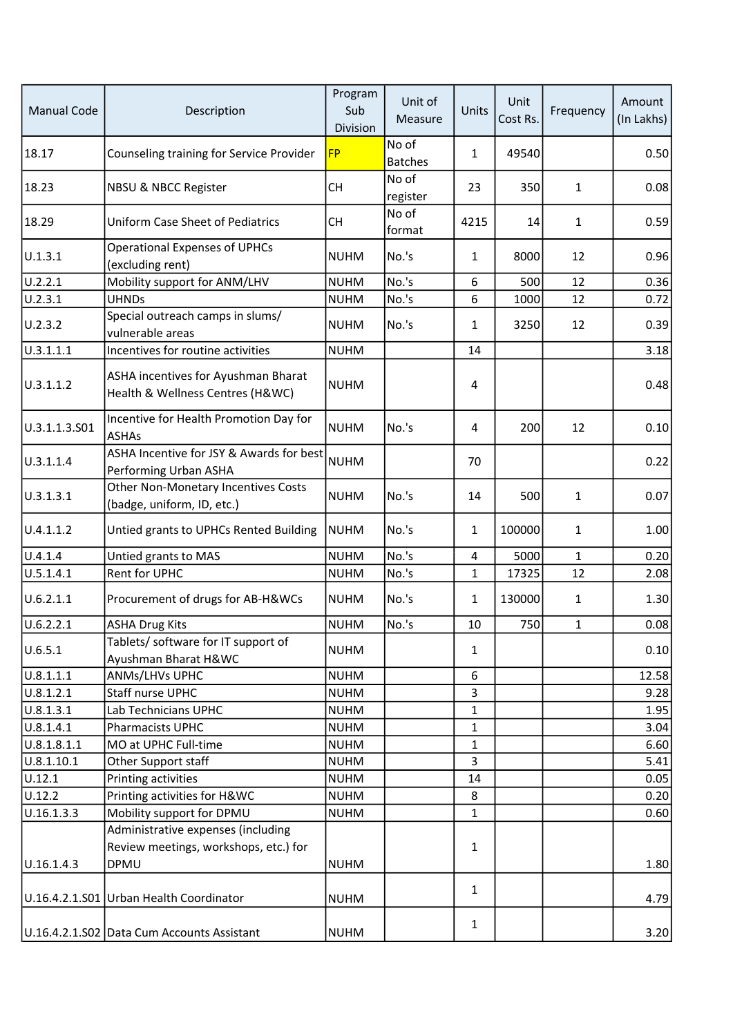| <b>Manual Code</b> | Description                                                             | Program<br>Sub<br>Division | Unit of<br>Measure      | Units          | Unit<br>Cost Rs. | Frequency    | Amount<br>(In Lakhs) |
|--------------------|-------------------------------------------------------------------------|----------------------------|-------------------------|----------------|------------------|--------------|----------------------|
| 18.17              | Counseling training for Service Provider                                | <b>FP</b>                  | No of<br><b>Batches</b> | $\mathbf{1}$   | 49540            |              | 0.50                 |
| 18.23              | NBSU & NBCC Register                                                    | <b>CH</b>                  | No of<br>register       | 23             | 350              | $\mathbf{1}$ | 0.08                 |
| 18.29              | <b>Uniform Case Sheet of Pediatrics</b>                                 | <b>CH</b>                  | No of<br>format         | 4215           | 14               | $\mathbf{1}$ | 0.59                 |
| U.1.3.1            | <b>Operational Expenses of UPHCs</b><br>(excluding rent)                | <b>NUHM</b>                | No.'s                   | $\mathbf{1}$   | 8000             | 12           | 0.96                 |
| U.2.2.1            | Mobility support for ANM/LHV                                            | <b>NUHM</b>                | No.'s                   | 6              | 500              | 12           | 0.36                 |
| U.2.3.1            | <b>UHNDs</b>                                                            | <b>NUHM</b>                | No.'s                   | 6              | 1000             | 12           | 0.72                 |
| U.2.3.2            | Special outreach camps in slums/<br>vulnerable areas                    | <b>NUHM</b>                | No.'s                   | 1              | 3250             | 12           | 0.39                 |
| U.3.1.1.1          | Incentives for routine activities                                       | <b>NUHM</b>                |                         | 14             |                  |              | 3.18                 |
| U.3.1.1.2          | ASHA incentives for Ayushman Bharat<br>Health & Wellness Centres (H&WC) | <b>NUHM</b>                |                         | 4              |                  |              | 0.48                 |
| U.3.1.1.3.S01      | Incentive for Health Promotion Day for<br><b>ASHAs</b>                  | <b>NUHM</b>                | No.'s                   | 4              | 200              | 12           | 0.10                 |
| U.3.1.1.4          | ASHA Incentive for JSY & Awards for best<br>Performing Urban ASHA       | <b>NUHM</b>                |                         | 70             |                  |              | 0.22                 |
| U.3.1.3.1          | Other Non-Monetary Incentives Costs<br>(badge, uniform, ID, etc.)       | <b>NUHM</b>                | No.'s                   | 14             | 500              | $\mathbf{1}$ | 0.07                 |
| U.4.1.1.2          | Untied grants to UPHCs Rented Building                                  | <b>NUHM</b>                | No.'s                   | $\mathbf{1}$   | 100000           | $\mathbf{1}$ | 1.00                 |
| U.4.1.4            | Untied grants to MAS                                                    | <b>NUHM</b>                | No.'s                   | $\overline{4}$ | 5000             | 1            | 0.20                 |
| U.5.1.4.1          | Rent for UPHC                                                           | <b>NUHM</b>                | No.'s                   | 1              | 17325            | 12           | 2.08                 |
| U.6.2.1.1          | Procurement of drugs for AB-H&WCs                                       | <b>NUHM</b>                | No.'s                   | 1              | 130000           | $\mathbf{1}$ | 1.30                 |
| U.6.2.2.1          | <b>ASHA Drug Kits</b>                                                   | <b>NUHM</b>                | No.'s                   | 10             | 750              | $\mathbf{1}$ | 0.08                 |
| U.6.5.1            | Tablets/ software for IT support of<br>Ayushman Bharat H&WC             | <b>NUHM</b>                |                         | $\mathbf 1$    |                  |              | 0.10                 |
| U.8.1.1.1          | ANMs/LHVs UPHC                                                          | <b>NUHM</b>                |                         | 6              |                  |              | 12.58                |
| U.8.1.2.1          | Staff nurse UPHC                                                        | <b>NUHM</b>                |                         | 3              |                  |              | 9.28                 |
| U.8.1.3.1          | Lab Technicians UPHC                                                    | <b>NUHM</b>                |                         | $\mathbf{1}$   |                  |              | 1.95                 |
| U.8.1.4.1          | Pharmacists UPHC                                                        | <b>NUHM</b>                |                         | 1              |                  |              | 3.04                 |
| U.8.1.8.1.1        | MO at UPHC Full-time                                                    | <b>NUHM</b>                |                         | 1              |                  |              | 6.60                 |
| U.8.1.10.1         | Other Support staff                                                     | <b>NUHM</b>                |                         | 3              |                  |              | 5.41                 |
| U.12.1             | Printing activities                                                     | <b>NUHM</b>                |                         | 14             |                  |              | 0.05                 |
| U.12.2             | Printing activities for H&WC                                            | <b>NUHM</b>                |                         | 8              |                  |              | 0.20                 |
| U.16.1.3.3         | Mobility support for DPMU                                               | <b>NUHM</b>                |                         | $\mathbf 1$    |                  |              | 0.60                 |
|                    | Administrative expenses (including                                      |                            |                         |                |                  |              |                      |
|                    | Review meetings, workshops, etc.) for                                   |                            |                         | 1              |                  |              |                      |
| U.16.1.4.3         | DPMU                                                                    | <b>NUHM</b>                |                         |                |                  |              | 1.80                 |
|                    | U.16.4.2.1.S01 Urban Health Coordinator                                 | <b>NUHM</b>                |                         | $\mathbf{1}$   |                  |              | 4.79                 |
|                    |                                                                         |                            |                         | $\mathbf{1}$   |                  |              |                      |
|                    | U.16.4.2.1.S02 Data Cum Accounts Assistant                              | <b>NUHM</b>                |                         |                |                  |              | 3.20                 |